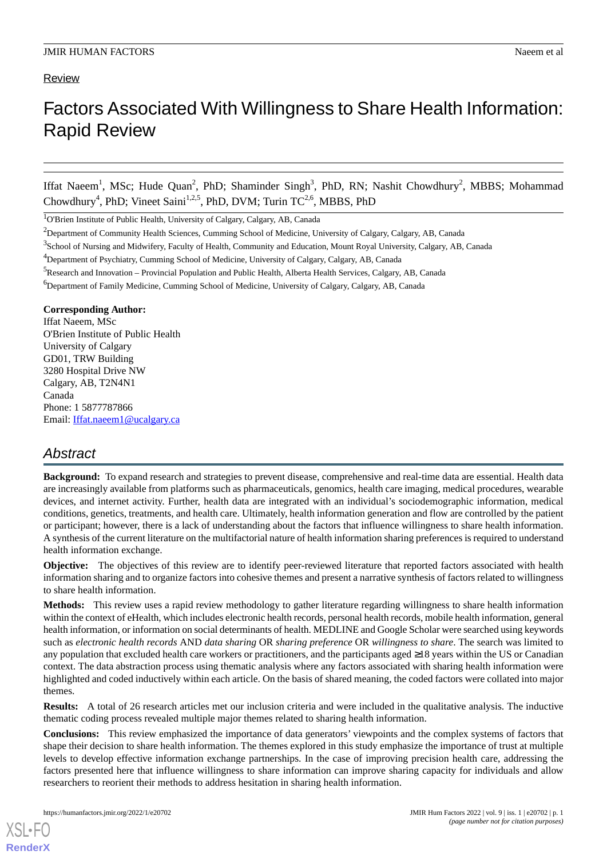## **Review**

# Factors Associated With Willingness to Share Health Information: Rapid Review

Iffat Naeem<sup>1</sup>, MSc; Hude Quan<sup>2</sup>, PhD; Shaminder Singh<sup>3</sup>, PhD, RN; Nashit Chowdhury<sup>2</sup>, MBBS; Mohammad Chowdhury<sup>4</sup>, PhD; Vineet Saini<sup>1,2,5</sup>, PhD, DVM; Turin  $TC^{2,6}$ , MBBS, PhD

<sup>1</sup>O'Brien Institute of Public Health, University of Calgary, Calgary, AB, Canada

<sup>6</sup>Department of Family Medicine, Cumming School of Medicine, University of Calgary, Calgary, AB, Canada

#### **Corresponding Author:**

Iffat Naeem, MSc O'Brien Institute of Public Health University of Calgary GD01, TRW Building 3280 Hospital Drive NW Calgary, AB, T2N4N1 Canada Phone: 1 5877787866 Email: [Iffat.naeem1@ucalgary.ca](mailto:Iffat.naeem1@ucalgary.ca)

## *Abstract*

**Background:** To expand research and strategies to prevent disease, comprehensive and real-time data are essential. Health data are increasingly available from platforms such as pharmaceuticals, genomics, health care imaging, medical procedures, wearable devices, and internet activity. Further, health data are integrated with an individual's sociodemographic information, medical conditions, genetics, treatments, and health care. Ultimately, health information generation and flow are controlled by the patient or participant; however, there is a lack of understanding about the factors that influence willingness to share health information. A synthesis of the current literature on the multifactorial nature of health information sharing preferences is required to understand health information exchange.

**Objective:** The objectives of this review are to identify peer-reviewed literature that reported factors associated with health information sharing and to organize factors into cohesive themes and present a narrative synthesis of factors related to willingness to share health information.

**Methods:** This review uses a rapid review methodology to gather literature regarding willingness to share health information within the context of eHealth, which includes electronic health records, personal health records, mobile health information, general health information, or information on social determinants of health. MEDLINE and Google Scholar were searched using keywords such as *electronic health records* AND *data sharing* OR *sharing preference* OR *willingness to share*. The search was limited to any population that excluded health care workers or practitioners, and the participants aged ≥18 years within the US or Canadian context. The data abstraction process using thematic analysis where any factors associated with sharing health information were highlighted and coded inductively within each article. On the basis of shared meaning, the coded factors were collated into major themes.

**Results:** A total of 26 research articles met our inclusion criteria and were included in the qualitative analysis. The inductive thematic coding process revealed multiple major themes related to sharing health information.

**Conclusions:** This review emphasized the importance of data generators' viewpoints and the complex systems of factors that shape their decision to share health information. The themes explored in this study emphasize the importance of trust at multiple levels to develop effective information exchange partnerships. In the case of improving precision health care, addressing the factors presented here that influence willingness to share information can improve sharing capacity for individuals and allow researchers to reorient their methods to address hesitation in sharing health information.

<sup>&</sup>lt;sup>2</sup>Department of Community Health Sciences, Cumming School of Medicine, University of Calgary, Calgary, AB, Canada

<sup>&</sup>lt;sup>3</sup> School of Nursing and Midwifery, Faculty of Health, Community and Education, Mount Royal University, Calgary, AB, Canada

<sup>4</sup>Department of Psychiatry, Cumming School of Medicine, University of Calgary, Calgary, AB, Canada

<sup>5</sup>Research and Innovation – Provincial Population and Public Health, Alberta Health Services, Calgary, AB, Canada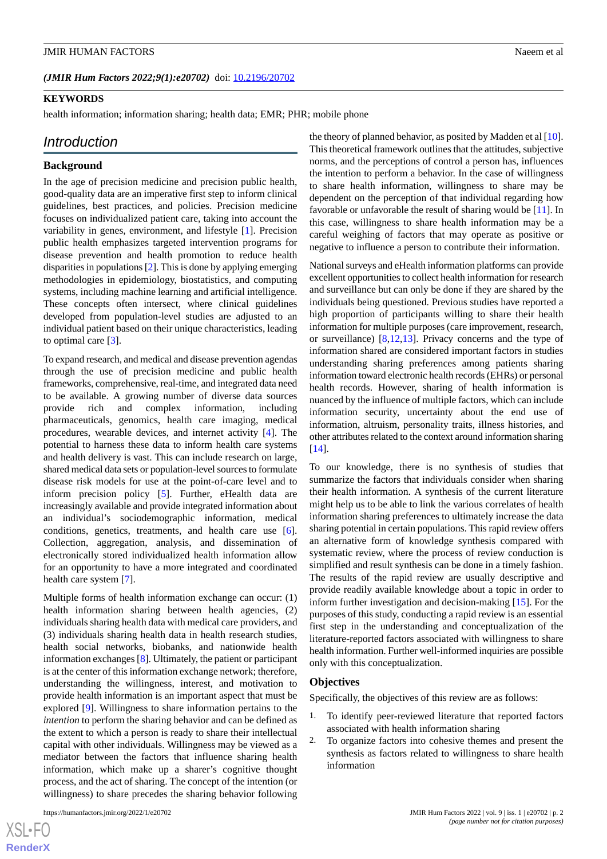(JMIR Hum Factors 2022;9(1):e20702) doi: [10.2196/20702](http://dx.doi.org/10.2196/20702)

#### **KEYWORDS**

health information; information sharing; health data; EMR; PHR; mobile phone

## *Introduction*

#### **Background**

In the age of precision medicine and precision public health, good-quality data are an imperative first step to inform clinical guidelines, best practices, and policies. Precision medicine focuses on individualized patient care, taking into account the variability in genes, environment, and lifestyle [\[1](#page-14-0)]. Precision public health emphasizes targeted intervention programs for disease prevention and health promotion to reduce health disparities in populations [\[2](#page-14-1)]. This is done by applying emerging methodologies in epidemiology, biostatistics, and computing systems, including machine learning and artificial intelligence. These concepts often intersect, where clinical guidelines developed from population-level studies are adjusted to an individual patient based on their unique characteristics, leading to optimal care [\[3](#page-15-0)].

To expand research, and medical and disease prevention agendas through the use of precision medicine and public health frameworks, comprehensive, real-time, and integrated data need to be available. A growing number of diverse data sources provide rich and complex information, including pharmaceuticals, genomics, health care imaging, medical procedures, wearable devices, and internet activity [[4\]](#page-15-1). The potential to harness these data to inform health care systems and health delivery is vast. This can include research on large, shared medical data sets or population-level sources to formulate disease risk models for use at the point-of-care level and to inform precision policy [\[5](#page-15-2)]. Further, eHealth data are increasingly available and provide integrated information about an individual's sociodemographic information, medical conditions, genetics, treatments, and health care use [[6\]](#page-15-3). Collection, aggregation, analysis, and dissemination of electronically stored individualized health information allow for an opportunity to have a more integrated and coordinated health care system [\[7](#page-15-4)].

Multiple forms of health information exchange can occur: (1) health information sharing between health agencies, (2) individuals sharing health data with medical care providers, and (3) individuals sharing health data in health research studies, health social networks, biobanks, and nationwide health information exchanges [[8](#page-15-5)]. Ultimately, the patient or participant is at the center of this information exchange network; therefore, understanding the willingness, interest, and motivation to provide health information is an important aspect that must be explored [[9\]](#page-15-6). Willingness to share information pertains to the *intention* to perform the sharing behavior and can be defined as the extent to which a person is ready to share their intellectual capital with other individuals. Willingness may be viewed as a mediator between the factors that influence sharing health information, which make up a sharer's cognitive thought process, and the act of sharing. The concept of the intention (or willingness) to share precedes the sharing behavior following

the theory of planned behavior, as posited by Madden et al  $[10]$  $[10]$ . This theoretical framework outlines that the attitudes, subjective norms, and the perceptions of control a person has, influences the intention to perform a behavior. In the case of willingness to share health information, willingness to share may be dependent on the perception of that individual regarding how favorable or unfavorable the result of sharing would be [\[11](#page-15-8)]. In this case, willingness to share health information may be a careful weighing of factors that may operate as positive or negative to influence a person to contribute their information.

National surveys and eHealth information platforms can provide excellent opportunities to collect health information for research and surveillance but can only be done if they are shared by the individuals being questioned. Previous studies have reported a high proportion of participants willing to share their health information for multiple purposes (care improvement, research, or surveillance) [[8](#page-15-5)[,12](#page-15-9),[13\]](#page-15-10). Privacy concerns and the type of information shared are considered important factors in studies understanding sharing preferences among patients sharing information toward electronic health records (EHRs) or personal health records. However, sharing of health information is nuanced by the influence of multiple factors, which can include information security, uncertainty about the end use of information, altruism, personality traits, illness histories, and other attributes related to the context around information sharing [[14\]](#page-15-11).

To our knowledge, there is no synthesis of studies that summarize the factors that individuals consider when sharing their health information. A synthesis of the current literature might help us to be able to link the various correlates of health information sharing preferences to ultimately increase the data sharing potential in certain populations. This rapid review offers an alternative form of knowledge synthesis compared with systematic review, where the process of review conduction is simplified and result synthesis can be done in a timely fashion. The results of the rapid review are usually descriptive and provide readily available knowledge about a topic in order to inform further investigation and decision-making [[15\]](#page-15-12). For the purposes of this study, conducting a rapid review is an essential first step in the understanding and conceptualization of the literature-reported factors associated with willingness to share health information. Further well-informed inquiries are possible only with this conceptualization.

#### **Objectives**

Specifically, the objectives of this review are as follows:

- 1. To identify peer-reviewed literature that reported factors associated with health information sharing
- 2. To organize factors into cohesive themes and present the synthesis as factors related to willingness to share health information

 $XS$  $\cdot$ FC **[RenderX](http://www.renderx.com/)**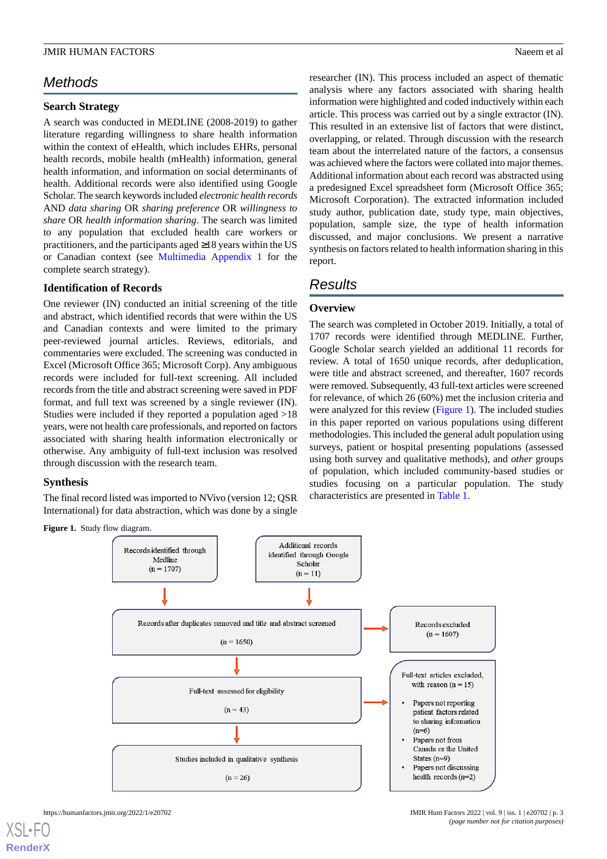## *Methods*

#### **Search Strategy**

A search was conducted in MEDLINE (2008-2019) to gather literature regarding willingness to share health information within the context of eHealth, which includes EHRs, personal health records, mobile health (mHealth) information, general health information, and information on social determinants of health. Additional records were also identified using Google Scholar. The search keywords included *electronic health records* AND *data sharing* OR *sharing preference* OR *willingness to share* OR *health information sharing*. The search was limited to any population that excluded health care workers or practitioners, and the participants aged ≥18 years within the US or Canadian context (see [Multimedia Appendix 1](#page-14-2) for the complete search strategy).

### **Identification of Records**

One reviewer (IN) conducted an initial screening of the title and abstract, which identified records that were within the US and Canadian contexts and were limited to the primary peer-reviewed journal articles. Reviews, editorials, and commentaries were excluded. The screening was conducted in Excel (Microsoft Office 365; Microsoft Corp). Any ambiguous records were included for full-text screening. All included records from the title and abstract screening were saved in PDF format, and full text was screened by a single reviewer (IN). Studies were included if they reported a population aged >18 years, were not health care professionals, and reported on factors associated with sharing health information electronically or otherwise. Any ambiguity of full-text inclusion was resolved through discussion with the research team.

## <span id="page-2-0"></span>**Synthesis**

The final record listed was imported to NVivo (version 12; QSR International) for data abstraction, which was done by a single

**Figure 1.** Study flow diagram.

researcher (IN). This process included an aspect of thematic analysis where any factors associated with sharing health information were highlighted and coded inductively within each article. This process was carried out by a single extractor (IN). This resulted in an extensive list of factors that were distinct, overlapping, or related. Through discussion with the research team about the interrelated nature of the factors, a consensus was achieved where the factors were collated into major themes. Additional information about each record was abstracted using a predesigned Excel spreadsheet form (Microsoft Office 365; Microsoft Corporation). The extracted information included study author, publication date, study type, main objectives, population, sample size, the type of health information discussed, and major conclusions. We present a narrative synthesis on factors related to health information sharing in this report.

## *Results*

### **Overview**

The search was completed in October 2019. Initially, a total of 1707 records were identified through MEDLINE. Further, Google Scholar search yielded an additional 11 records for review. A total of 1650 unique records, after deduplication, were title and abstract screened, and thereafter, 1607 records were removed. Subsequently, 43 full-text articles were screened for relevance, of which 26 (60%) met the inclusion criteria and were analyzed for this review ([Figure 1](#page-2-0)). The included studies in this paper reported on various populations using different methodologies. This included the general adult population using surveys, patient or hospital presenting populations (assessed using both survey and qualitative methods), and *other* groups of population, which included community-based studies or studies focusing on a particular population. The study characteristics are presented in [Table 1.](#page-3-0)

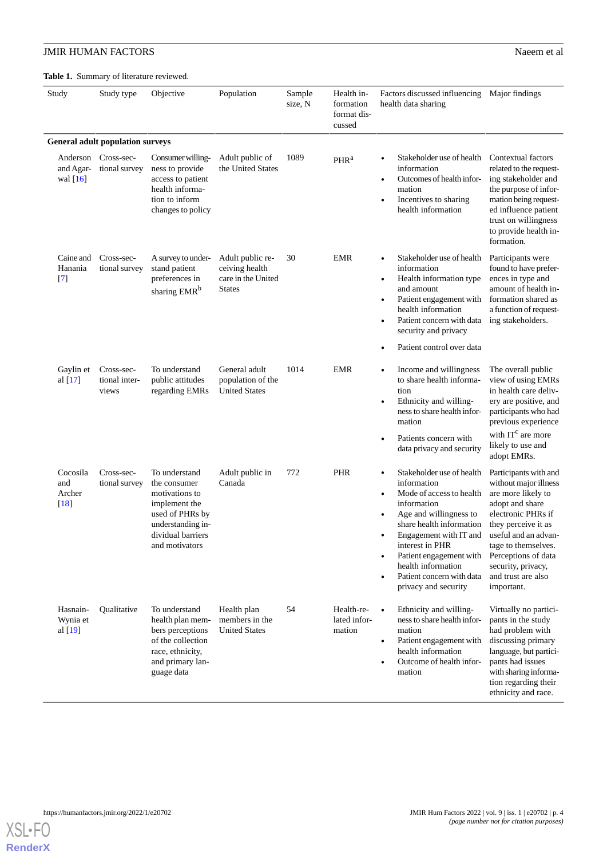<span id="page-3-0"></span>**Table 1.** Summary of literature reviewed.

| Study                               | Study type                              | Objective                                                                                                                                       | Population                                                                | Sample<br>size, N | Health in-<br>formation<br>format dis-<br>cussed | Factors discussed influencing Major findings<br>health data sharing                                                                                                                                                                                                                                                                                                        |                                                                                                                                                                                                                                                                      |
|-------------------------------------|-----------------------------------------|-------------------------------------------------------------------------------------------------------------------------------------------------|---------------------------------------------------------------------------|-------------------|--------------------------------------------------|----------------------------------------------------------------------------------------------------------------------------------------------------------------------------------------------------------------------------------------------------------------------------------------------------------------------------------------------------------------------------|----------------------------------------------------------------------------------------------------------------------------------------------------------------------------------------------------------------------------------------------------------------------|
|                                     | <b>General adult population surveys</b> |                                                                                                                                                 |                                                                           |                   |                                                  |                                                                                                                                                                                                                                                                                                                                                                            |                                                                                                                                                                                                                                                                      |
| Anderson<br>and Agar-<br>wal $[16]$ | Cross-sec-<br>tional survey             | Consumer willing-<br>ness to provide<br>access to patient<br>health informa-<br>tion to inform<br>changes to policy                             | Adult public of<br>the United States                                      | 1089              | PHR <sup>a</sup>                                 | Stakeholder use of health<br>$\bullet$<br>information<br>Outcomes of health infor-<br>$\bullet$<br>mation<br>Incentives to sharing<br>$\bullet$<br>health information                                                                                                                                                                                                      | Contextual factors<br>related to the request-<br>ing stakeholder and<br>the purpose of infor-<br>mation being request-<br>ed influence patient<br>trust on willingness<br>to provide health in-<br>formation.                                                        |
| Caine and<br>Hanania<br>$[7]$       | Cross-sec-<br>tional survey             | A survey to under-<br>stand patient<br>preferences in<br>sharing EMR <sup>b</sup>                                                               | Adult public re-<br>ceiving health<br>care in the United<br><b>States</b> | 30                | <b>EMR</b>                                       | Stakeholder use of health<br>$\bullet$<br>information<br>Health information type<br>$\bullet$<br>and amount<br>Patient engagement with<br>$\bullet$<br>health information<br>Patient concern with data<br>$\bullet$<br>security and privacy<br>Patient control over data<br>$\bullet$                                                                                      | Participants were<br>found to have prefer-<br>ences in type and<br>amount of health in-<br>formation shared as<br>a function of request-<br>ing stakeholders.                                                                                                        |
| Gaylin et<br>al $[17]$              | Cross-sec-<br>tional inter-<br>views    | To understand<br>public attitudes<br>regarding EMRs                                                                                             | General adult<br>population of the<br><b>United States</b>                | 1014              | <b>EMR</b>                                       | Income and willingness<br>$\bullet$<br>to share health informa-<br>tion<br>Ethnicity and willing-<br>$\bullet$<br>ness to share health infor-<br>mation<br>Patients concern with<br>$\bullet$<br>data privacy and security                                                                                                                                                 | The overall public<br>view of using EMRs<br>in health care deliv-<br>ery are positive, and<br>participants who had<br>previous experience<br>with $ITc$ are more<br>likely to use and<br>adopt EMRs.                                                                 |
| Cocosila<br>and<br>Archer<br>$[18]$ | Cross-sec-<br>tional survey             | To understand<br>the consumer<br>motivations to<br>implement the<br>used of PHRs by<br>understanding in-<br>dividual barriers<br>and motivators | Adult public in<br>Canada                                                 | 772               | <b>PHR</b>                                       | Stakeholder use of health<br>$\bullet$<br>information<br>Mode of access to health<br>$\bullet$<br>information<br>Age and willingness to<br>$\bullet$<br>share health information<br>Engagement with IT and<br>$\bullet$<br>interest in PHR<br>Patient engagement with<br>$\bullet$<br>health information<br>Patient concern with data<br>$\bullet$<br>privacy and security | Participants with and<br>without major illness<br>are more likely to<br>adopt and share<br>electronic PHRs if<br>they perceive it as<br>useful and an advan-<br>tage to themselves.<br>Perceptions of data<br>security, privacy,<br>and trust are also<br>important. |
| Hasnain-<br>Wynia et<br>al $[19]$   | Qualitative                             | To understand<br>health plan mem-<br>bers perceptions<br>of the collection<br>race, ethnicity,<br>and primary lan-<br>guage data                | Health plan<br>members in the<br><b>United States</b>                     | 54                | Health-re-<br>lated infor-<br>mation             | Ethnicity and willing-<br>$\bullet$<br>ness to share health infor-<br>mation<br>Patient engagement with<br>$\bullet$<br>health information<br>Outcome of health infor-<br>$\bullet$<br>mation                                                                                                                                                                              | Virtually no partici-<br>pants in the study<br>had problem with<br>discussing primary<br>language, but partici-<br>pants had issues<br>with sharing informa-<br>tion regarding their<br>ethnicity and race.                                                          |

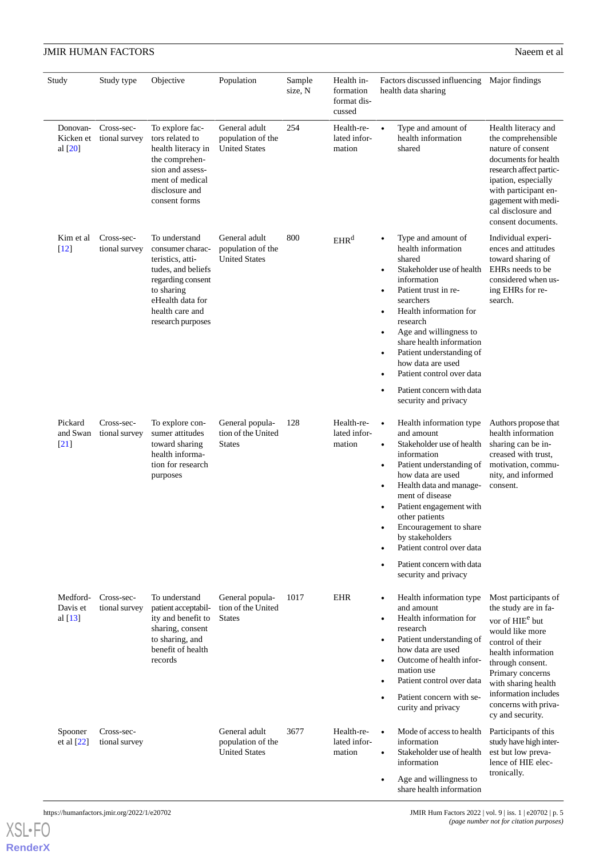| Study                              | Study type                  | Objective                                                                                                                                                                  | Population                                                 | Sample<br>size, N | Health in-<br>formation<br>format dis-<br>cussed | Factors discussed influencing Major findings<br>health data sharing                                                                                                                                                                                                                                                                                                                                                                              |                                                                                                                                                                                                                                                                             |  |
|------------------------------------|-----------------------------|----------------------------------------------------------------------------------------------------------------------------------------------------------------------------|------------------------------------------------------------|-------------------|--------------------------------------------------|--------------------------------------------------------------------------------------------------------------------------------------------------------------------------------------------------------------------------------------------------------------------------------------------------------------------------------------------------------------------------------------------------------------------------------------------------|-----------------------------------------------------------------------------------------------------------------------------------------------------------------------------------------------------------------------------------------------------------------------------|--|
| Donovan-<br>Kicken et<br>al $[20]$ | Cross-sec-<br>tional survey | To explore fac-<br>tors related to<br>health literacy in<br>the comprehen-<br>sion and assess-<br>ment of medical<br>disclosure and<br>consent forms                       | General adult<br>population of the<br><b>United States</b> | 254               | Health-re-<br>lated infor-<br>mation             | Type and amount of<br>$\bullet$<br>health information<br>shared                                                                                                                                                                                                                                                                                                                                                                                  | Health literacy and<br>the comprehensible<br>nature of consent<br>documents for health<br>research affect partic-<br>ipation, especially<br>with participant en-<br>gagement with medi-<br>cal disclosure and<br>consent documents.                                         |  |
| Kim et al<br>$[12]$                | Cross-sec-<br>tional survey | To understand<br>consumer charac-<br>teristics, atti-<br>tudes, and beliefs<br>regarding consent<br>to sharing<br>eHealth data for<br>health care and<br>research purposes | General adult<br>population of the<br><b>United States</b> | 800               | EHR <sup>d</sup>                                 | Type and amount of<br>health information<br>shared<br>Stakeholder use of health<br>$\bullet$<br>information<br>Patient trust in re-<br>$\bullet$<br>searchers<br>Health information for<br>$\bullet$<br>research<br>Age and willingness to<br>$\bullet$<br>share health information<br>Patient understanding of<br>$\bullet$<br>how data are used<br>Patient control over data<br>Patient concern with data<br>$\bullet$<br>security and privacy | Individual experi-<br>ences and attitudes<br>toward sharing of<br>EHRs needs to be<br>considered when us-<br>ing EHRs for re-<br>search.                                                                                                                                    |  |
| Pickard<br>and Swan<br>$[21]$      | Cross-sec-<br>tional survey | To explore con-<br>sumer attitudes<br>toward sharing<br>health informa-<br>tion for research<br>purposes                                                                   | General popula-<br>tion of the United<br><b>States</b>     | 128               | Health-re-<br>lated infor-<br>mation             | Health information type<br>and amount<br>Stakeholder use of health<br>$\bullet$<br>information<br>Patient understanding of<br>$\bullet$<br>how data are used<br>Health data and manage-<br>$\bullet$<br>ment of disease<br>Patient engagement with<br>other patients<br>Encouragement to share<br>by stakeholders<br>Patient control over data<br>Patient concern with data<br>security and privacy                                              | Authors propose that<br>health information<br>sharing can be in-<br>creased with trust,<br>motivation, commu-<br>nity, and informed<br>consent.                                                                                                                             |  |
| Medford-<br>Davis et<br>al $[13]$  | Cross-sec-<br>tional survey | To understand<br>patient acceptabil-<br>ity and benefit to<br>sharing, consent<br>to sharing, and<br>benefit of health<br>records                                          | General popula-<br>tion of the United<br><b>States</b>     | 1017              | <b>EHR</b>                                       | Health information type<br>$\bullet$<br>and amount<br>Health information for<br>$\bullet$<br>research<br>Patient understanding of<br>$\bullet$<br>how data are used<br>Outcome of health infor-<br>mation use<br>Patient control over data<br>$\bullet$<br>Patient concern with se-<br>curity and privacy                                                                                                                                        | Most participants of<br>the study are in fa-<br>vor of HIE <sup>e</sup> but<br>would like more<br>control of their<br>health information<br>through consent.<br>Primary concerns<br>with sharing health<br>information includes<br>concerns with priva-<br>cy and security. |  |
| Spooner<br>et al [22]              | Cross-sec-<br>tional survey |                                                                                                                                                                            | General adult<br>population of the<br><b>United States</b> | 3677              | Health-re-<br>lated infor-<br>mation             | Mode of access to health<br>information<br>Stakeholder use of health<br>$\bullet$<br>information<br>Age and willingness to<br>$\bullet$<br>share health information                                                                                                                                                                                                                                                                              | Participants of this<br>study have high inter-<br>est but low preva-<br>lence of HIE elec-<br>tronically.                                                                                                                                                                   |  |

[XSL](http://www.w3.org/Style/XSL)•FO **[RenderX](http://www.renderx.com/)**

https://humanfactors.jmir.org/2022/1/e20702 JMIR Hum Factors 2022 | vol. 9 | iss. 1 | e20702 | p. 5 *(page number not for citation purposes)*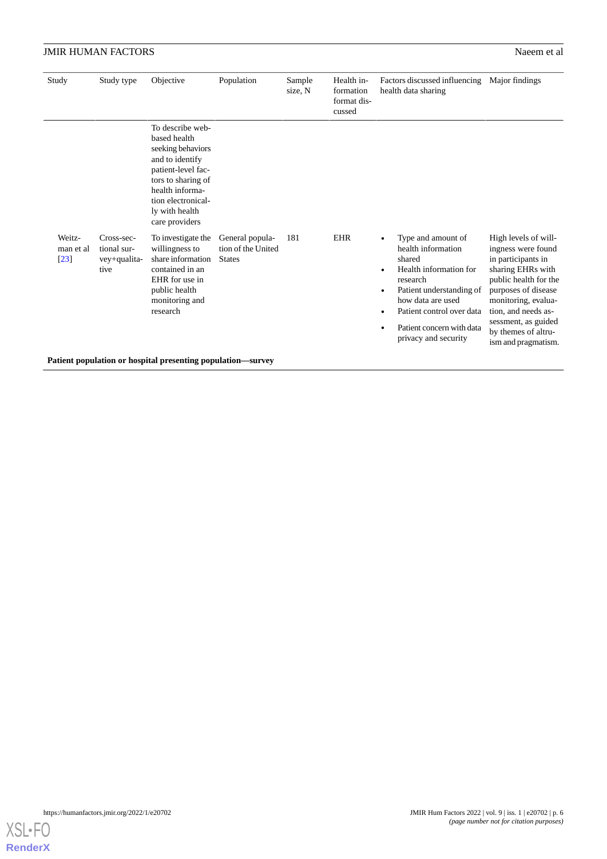| Study                                    | Study type                                                  | Objective                                                                                                                                                                                         | Population                                             | Sample<br>size, N | Health in-<br>formation<br>format dis-<br>cussed | Factors discussed influencing<br>health data sharing                                                                                                                                                                                                                    | Major findings                                                                                                                                                                                                                                           |  |  |  |
|------------------------------------------|-------------------------------------------------------------|---------------------------------------------------------------------------------------------------------------------------------------------------------------------------------------------------|--------------------------------------------------------|-------------------|--------------------------------------------------|-------------------------------------------------------------------------------------------------------------------------------------------------------------------------------------------------------------------------------------------------------------------------|----------------------------------------------------------------------------------------------------------------------------------------------------------------------------------------------------------------------------------------------------------|--|--|--|
|                                          |                                                             | To describe web-<br>based health<br>seeking behaviors<br>and to identify<br>patient-level fac-<br>tors to sharing of<br>health informa-<br>tion electronical-<br>ly with health<br>care providers |                                                        |                   |                                                  |                                                                                                                                                                                                                                                                         |                                                                                                                                                                                                                                                          |  |  |  |
| Weitz-<br>man et al<br>$\left[23\right]$ | Cross-sec-<br>tional sur-<br>vey+qualita-<br>tive           | To investigate the<br>willingness to<br>share information<br>contained in an<br>EHR for use in<br>public health<br>monitoring and<br>research                                                     | General popula-<br>tion of the United<br><b>States</b> | 181               | <b>EHR</b>                                       | Type and amount of<br>$\bullet$<br>health information<br>shared<br>Health information for<br>$\bullet$<br>research<br>Patient understanding of<br>$\bullet$<br>how data are used<br>Patient control over data<br>Patient concern with data<br>٠<br>privacy and security | High levels of will-<br>ingness were found<br>in participants in<br>sharing EHRs with<br>public health for the<br>purposes of disease<br>monitoring, evalua-<br>tion, and needs as-<br>sessment, as guided<br>by themes of altru-<br>ism and pragmatism. |  |  |  |
|                                          | Patient population or hospital presenting population—survey |                                                                                                                                                                                                   |                                                        |                   |                                                  |                                                                                                                                                                                                                                                                         |                                                                                                                                                                                                                                                          |  |  |  |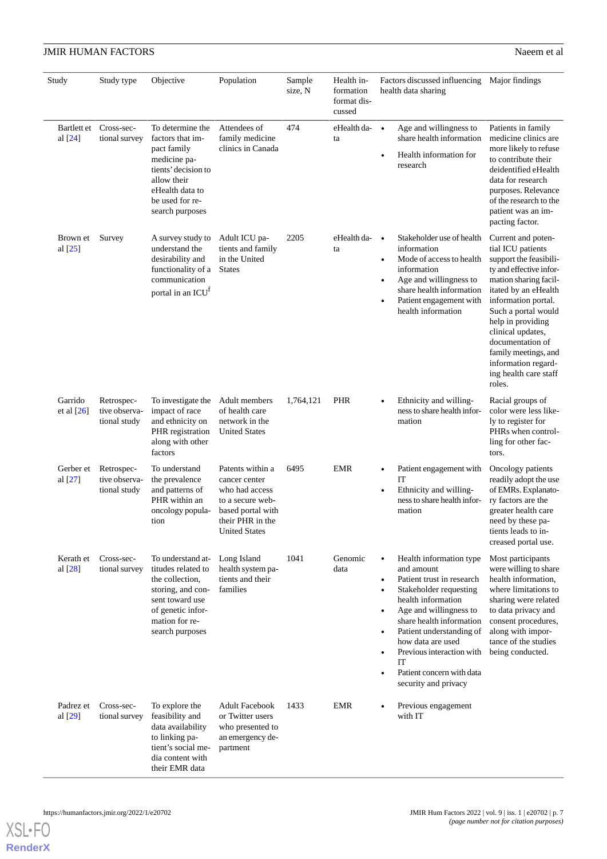| Study                    | Study type                                  | Objective                                                                                                                                                          | Population                                                                                                                               | Sample<br>size, N | Health in-<br>formation<br>format dis-<br>cussed | Factors discussed influencing Major findings<br>health data sharing                                                                                                                                                                                                                                                                                                                                          |                                                                                                                                                                                                                                                                                                                                             |
|--------------------------|---------------------------------------------|--------------------------------------------------------------------------------------------------------------------------------------------------------------------|------------------------------------------------------------------------------------------------------------------------------------------|-------------------|--------------------------------------------------|--------------------------------------------------------------------------------------------------------------------------------------------------------------------------------------------------------------------------------------------------------------------------------------------------------------------------------------------------------------------------------------------------------------|---------------------------------------------------------------------------------------------------------------------------------------------------------------------------------------------------------------------------------------------------------------------------------------------------------------------------------------------|
| Bartlett et<br>al $[24]$ | Cross-sec-<br>tional survey                 | To determine the<br>factors that im-<br>pact family<br>medicine pa-<br>tients' decision to<br>allow their<br>eHealth data to<br>be used for re-<br>search purposes | Attendees of<br>family medicine<br>clinics in Canada                                                                                     | 474               | $e$ Health da- $\bullet$<br>ta                   | Age and willingness to<br>share health information<br>Health information for<br>$\bullet$<br>research                                                                                                                                                                                                                                                                                                        | Patients in family<br>medicine clinics are<br>more likely to refuse<br>to contribute their<br>deidentified eHealth<br>data for research<br>purposes. Relevance<br>of the research to the<br>patient was an im-<br>pacting factor.                                                                                                           |
| Brown et<br>al [25]      | Survey                                      | A survey study to<br>understand the<br>desirability and<br>functionality of a<br>communication<br>portal in an ICU <sup>f</sup>                                    | Adult ICU pa-<br>tients and family<br>in the United<br><b>States</b>                                                                     | 2205              | eHealth da-<br>ta                                | Stakeholder use of health<br>$\bullet$<br>information<br>Mode of access to health<br>$\bullet$<br>information<br>Age and willingness to<br>$\bullet$<br>share health information<br>Patient engagement with<br>$\bullet$<br>health information                                                                                                                                                               | Current and poten-<br>tial ICU patients<br>support the feasibili-<br>ty and effective infor-<br>mation sharing facil-<br>itated by an eHealth<br>information portal.<br>Such a portal would<br>help in providing<br>clinical updates,<br>documentation of<br>family meetings, and<br>information regard-<br>ing health care staff<br>roles. |
| Garrido<br>et al $[26]$  | Retrospec-<br>tive observa-<br>tional study | To investigate the<br>impact of race<br>and ethnicity on<br>PHR registration<br>along with other<br>factors                                                        | Adult members<br>of health care<br>network in the<br><b>United States</b>                                                                | 1,764,121         | <b>PHR</b>                                       | Ethnicity and willing-<br>$\bullet$<br>ness to share health infor-<br>mation                                                                                                                                                                                                                                                                                                                                 | Racial groups of<br>color were less like-<br>ly to register for<br>PHRs when control-<br>ling for other fac-<br>tors.                                                                                                                                                                                                                       |
| Gerber et<br>al [27]     | Retrospec-<br>tive observa-<br>tional study | To understand<br>the prevalence<br>and patterns of<br>PHR within an<br>oncology popula-<br>tion                                                                    | Patents within a<br>cancer center<br>who had access<br>to a secure web-<br>based portal with<br>their PHR in the<br><b>United States</b> | 6495              | <b>EMR</b>                                       | Patient engagement with<br>$\bullet$<br>IT<br>Ethnicity and willing-<br>$\bullet$<br>ness to share health infor-<br>mation                                                                                                                                                                                                                                                                                   | Oncology patients<br>readily adopt the use<br>of EMRs. Explanato-<br>ry factors are the<br>greater health care<br>need by these pa-<br>tients leads to in-<br>creased portal use.                                                                                                                                                           |
| Kerath et<br>al $[28]$   | Cross-sec-<br>tional survey                 | To understand at-<br>titudes related to<br>the collection,<br>storing, and con-<br>sent toward use<br>of genetic infor-<br>mation for re-<br>search purposes       | Long Island<br>health system pa-<br>tients and their<br>families                                                                         | 1041              | Genomic<br>data                                  | Health information type<br>$\bullet$<br>and amount<br>Patient trust in research<br>$\bullet$<br>Stakeholder requesting<br>$\bullet$<br>health information<br>Age and willingness to<br>$\bullet$<br>share health information<br>Patient understanding of<br>$\bullet$<br>how data are used<br>Previous interaction with<br>$\bullet$<br>IT<br>Patient concern with data<br>$\bullet$<br>security and privacy | Most participants<br>were willing to share<br>health information,<br>where limitations to<br>sharing were related<br>to data privacy and<br>consent procedures,<br>along with impor-<br>tance of the studies<br>being conducted.                                                                                                            |
| Padrez et<br>al $[29]$   | Cross-sec-<br>tional survey                 | To explore the<br>feasibility and<br>data availability<br>to linking pa-<br>tient's social me-<br>dia content with<br>their EMR data                               | <b>Adult Facebook</b><br>or Twitter users<br>who presented to<br>an emergency de-<br>partment                                            | 1433              | <b>EMR</b>                                       | Previous engagement<br>$\bullet$<br>with IT                                                                                                                                                                                                                                                                                                                                                                  |                                                                                                                                                                                                                                                                                                                                             |

**[RenderX](http://www.renderx.com/)**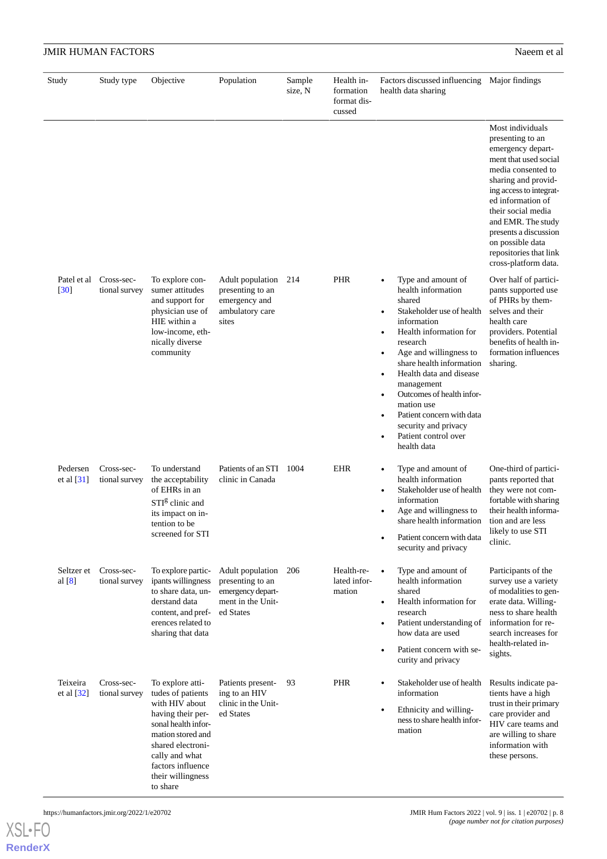|                          | <b>JMIR HUMAN FACTORS</b>   |                                                                                                                                                                                                                       |                                                                                             |                   |                                                  |                                                                                                                                                                                                                                                                                                                                                                                                      | Naeem et al                                                                                                                                                                                                                                                                                                                |
|--------------------------|-----------------------------|-----------------------------------------------------------------------------------------------------------------------------------------------------------------------------------------------------------------------|---------------------------------------------------------------------------------------------|-------------------|--------------------------------------------------|------------------------------------------------------------------------------------------------------------------------------------------------------------------------------------------------------------------------------------------------------------------------------------------------------------------------------------------------------------------------------------------------------|----------------------------------------------------------------------------------------------------------------------------------------------------------------------------------------------------------------------------------------------------------------------------------------------------------------------------|
| Study                    | Study type                  | Objective                                                                                                                                                                                                             | Population                                                                                  | Sample<br>size, N | Health in-<br>formation<br>format dis-<br>cussed | Factors discussed influencing<br>health data sharing                                                                                                                                                                                                                                                                                                                                                 | Major findings                                                                                                                                                                                                                                                                                                             |
|                          |                             |                                                                                                                                                                                                                       |                                                                                             |                   |                                                  |                                                                                                                                                                                                                                                                                                                                                                                                      | Most individuals<br>presenting to an<br>emergency depart-<br>ment that used social<br>media consented to<br>sharing and provid-<br>ing access to integrat-<br>ed information of<br>their social media<br>and EMR. The study<br>presents a discussion<br>on possible data<br>repositories that link<br>cross-platform data. |
| Patel et al<br>$[30]$    | Cross-sec-<br>tional survey | To explore con-<br>sumer attitudes<br>and support for<br>physician use of<br>HIE within a<br>low-income, eth-<br>nically diverse<br>community                                                                         | Adult population<br>presenting to an<br>emergency and<br>ambulatory care<br>sites           | 214               | PHR                                              | Type and amount of<br>health information<br>shared<br>Stakeholder use of health<br>information<br>Health information for<br>$\bullet$<br>research<br>Age and willingness to<br>share health information<br>Health data and disease<br>management<br>Outcomes of health infor-<br>$\bullet$<br>mation use<br>Patient concern with data<br>security and privacy<br>Patient control over<br>health data | Over half of partici-<br>pants supported use<br>of PHRs by them-<br>selves and their<br>health care<br>providers. Potential<br>benefits of health in-<br>formation influences<br>sharing.                                                                                                                                  |
| Pedersen<br>et al $[31]$ | Cross-sec-<br>tional survey | To understand<br>the acceptability<br>of EHRs in an<br>STI <sup>g</sup> clinic and<br>its impact on in-<br>tention to be<br>screened for STI                                                                          | Patients of an STI 1004<br>clinic in Canada                                                 |                   | <b>EHR</b>                                       | Type and amount of<br>health information<br>Stakeholder use of health<br>information<br>Age and willingness to<br>share health information<br>Patient concern with data<br>security and privacy                                                                                                                                                                                                      | One-third of partici-<br>pants reported that<br>they were not com-<br>fortable with sharing<br>their health informa-<br>tion and are less<br>likely to use STI<br>clinic.                                                                                                                                                  |
| Seltzer et<br>al $[8]$   | Cross-sec-<br>tional survey | To explore partic-<br>ipants willingness<br>to share data, un-<br>derstand data<br>content, and pref-<br>erences related to<br>sharing that data                                                                      | Adult population<br>presenting to an<br>emergency depart-<br>ment in the Unit-<br>ed States | 206               | Health-re-<br>lated infor-<br>mation             | Type and amount of<br>health information<br>shared<br>Health information for<br>$\bullet$<br>research<br>Patient understanding of<br>how data are used<br>Patient concern with se-<br>curity and privacy                                                                                                                                                                                             | Participants of the<br>survey use a variety<br>of modalities to gen-<br>erate data. Willing-<br>ness to share health<br>information for re-<br>search increases for<br>health-related in-<br>sights.                                                                                                                       |
| Teixeira<br>et al $[32]$ | Cross-sec-<br>tional survey | To explore atti-<br>tudes of patients<br>with HIV about<br>having their per-<br>sonal health infor-<br>mation stored and<br>shared electroni-<br>cally and what<br>factors influence<br>their willingness<br>to share | Patients present-<br>ing to an HIV<br>clinic in the Unit-<br>ed States                      | 93                | PHR                                              | Stakeholder use of health<br>information<br>Ethnicity and willing-<br>ness to share health infor-<br>mation                                                                                                                                                                                                                                                                                          | Results indicate pa-<br>tients have a high<br>trust in their primary<br>care provider and<br>HIV care teams and<br>are willing to share<br>information with<br>these persons.                                                                                                                                              |

**[RenderX](http://www.renderx.com/)**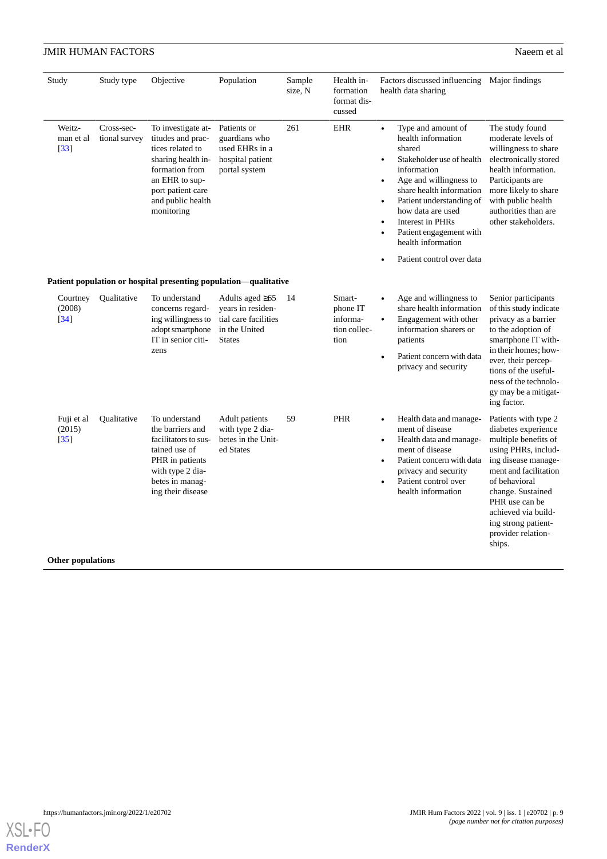| Study                          | Study type                  | Objective                                                                                                                                                                     | Population                                                                                           | Sample<br>size, N | Health in-<br>formation<br>format dis-<br>cussed       | Factors discussed influencing Major findings<br>health data sharing                                                                                                                                                                                                                                                                                                                                |                                                                                                                                                                                                                                                                                  |  |  |  |
|--------------------------------|-----------------------------|-------------------------------------------------------------------------------------------------------------------------------------------------------------------------------|------------------------------------------------------------------------------------------------------|-------------------|--------------------------------------------------------|----------------------------------------------------------------------------------------------------------------------------------------------------------------------------------------------------------------------------------------------------------------------------------------------------------------------------------------------------------------------------------------------------|----------------------------------------------------------------------------------------------------------------------------------------------------------------------------------------------------------------------------------------------------------------------------------|--|--|--|
| Weitz-<br>man et al<br>$[33]$  | Cross-sec-<br>tional survey | To investigate at-<br>titudes and prac-<br>tices related to<br>sharing health in-<br>formation from<br>an EHR to sup-<br>port patient care<br>and public health<br>monitoring | Patients or<br>guardians who<br>used EHRs in a<br>hospital patient<br>portal system                  | 261               | <b>EHR</b>                                             | Type and amount of<br>$\bullet$<br>health information<br>shared<br>Stakeholder use of health<br>$\bullet$<br>information<br>Age and willingness to<br>$\bullet$<br>share health information<br>Patient understanding of<br>$\bullet$<br>how data are used<br>Interest in PHRs<br>$\bullet$<br>Patient engagement with<br>$\bullet$<br>health information<br>Patient control over data<br>$\bullet$ | The study found<br>moderate levels of<br>willingness to share<br>electronically stored<br>health information.<br>Participants are<br>more likely to share<br>with public health<br>authorities than are<br>other stakeholders.                                                   |  |  |  |
|                                |                             | Patient population or hospital presenting population-qualitative                                                                                                              |                                                                                                      |                   |                                                        |                                                                                                                                                                                                                                                                                                                                                                                                    |                                                                                                                                                                                                                                                                                  |  |  |  |
| Courtney<br>(2008)<br>$[34]$   | Qualitative                 | To understand<br>concerns regard-<br>ing willingness to<br>adopt smartphone<br>IT in senior citi-<br>zens                                                                     | Adults aged $\geq 65$<br>years in residen-<br>tial care facilities<br>in the United<br><b>States</b> | 14                | Smart-<br>phone IT<br>informa-<br>tion collec-<br>tion | Age and willingness to<br>$\bullet$<br>share health information<br>Engagement with other<br>$\bullet$<br>information sharers or<br>patients<br>Patient concern with data<br>$\bullet$<br>privacy and security                                                                                                                                                                                      | Senior participants<br>of this study indicate<br>privacy as a barrier<br>to the adoption of<br>smartphone IT with-<br>in their homes; how-<br>ever, their percep-<br>tions of the useful-<br>ness of the technolo-<br>gy may be a mitigat-<br>ing factor.                        |  |  |  |
| Fuji et al<br>(2015)<br>$[35]$ | Qualitative                 | To understand<br>the barriers and<br>facilitators to sus-<br>tained use of<br>PHR in patients<br>with type 2 dia-<br>betes in manag-<br>ing their disease                     | <b>Adult</b> patients<br>with type 2 dia-<br>betes in the Unit-<br>ed States                         | 59                | PHR                                                    | Health data and manage-<br>$\bullet$<br>ment of disease<br>Health data and manage-<br>$\bullet$<br>ment of disease<br>Patient concern with data<br>$\bullet$<br>privacy and security<br>Patient control over<br>$\bullet$<br>health information                                                                                                                                                    | Patients with type 2<br>diabetes experience<br>multiple benefits of<br>using PHRs, includ-<br>ing disease manage-<br>ment and facilitation<br>of behavioral<br>change. Sustained<br>PHR use can be<br>achieved via build-<br>ing strong patient-<br>provider relation-<br>ships. |  |  |  |
|                                | <b>Other populations</b>    |                                                                                                                                                                               |                                                                                                      |                   |                                                        |                                                                                                                                                                                                                                                                                                                                                                                                    |                                                                                                                                                                                                                                                                                  |  |  |  |

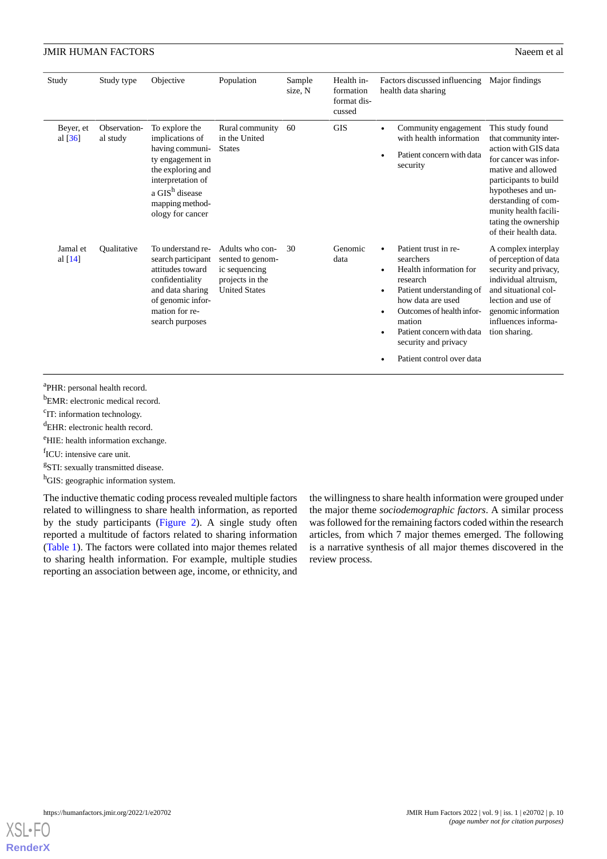| Study                              | Study type               | Objective                                                                                                                                                                               | Population                                                                                      | Sample<br>size, N | Health in-<br>formation<br>format dis-<br>cussed | Factors discussed influencing<br>health data sharing                                                                                                                                                                                                           | Major findings                                                                                                                                                                                                                                                   |
|------------------------------------|--------------------------|-----------------------------------------------------------------------------------------------------------------------------------------------------------------------------------------|-------------------------------------------------------------------------------------------------|-------------------|--------------------------------------------------|----------------------------------------------------------------------------------------------------------------------------------------------------------------------------------------------------------------------------------------------------------------|------------------------------------------------------------------------------------------------------------------------------------------------------------------------------------------------------------------------------------------------------------------|
| Beyer, et<br>al $\lceil 36 \rceil$ | Observation-<br>al study | To explore the<br>implications of<br>having communi-<br>ty engagement in<br>the exploring and<br>interpretation of<br>a GIS <sup>h</sup> disease<br>mapping method-<br>ology for cancer | Rural community<br>in the United<br><b>States</b>                                               | 60                | <b>GIS</b>                                       | Community engagement<br>with health information<br>Patient concern with data<br>security                                                                                                                                                                       | This study found<br>that community inter-<br>action with GIS data<br>for cancer was infor-<br>mative and allowed<br>participants to build<br>hypotheses and un-<br>derstanding of com-<br>munity health facili-<br>tating the ownership<br>of their health data. |
| Jamal et<br>al $[14]$              | Qualitative              | To understand re-<br>search participant<br>attitudes toward<br>confidentiality<br>and data sharing<br>of genomic infor-<br>mation for re-<br>search purposes                            | Adults who con-<br>sented to genom-<br>ic sequencing<br>projects in the<br><b>United States</b> | 30                | Genomic<br>data                                  | Patient trust in re-<br>searchers<br>Health information for<br>$\bullet$<br>research<br>Patient understanding of<br>how data are used<br>Outcomes of health infor-<br>mation<br>Patient concern with data<br>security and privacy<br>Patient control over data | A complex interplay<br>of perception of data<br>security and privacy,<br>individual altruism.<br>and situational col-<br>lection and use of<br>genomic information<br>influences informa-<br>tion sharing.                                                       |

<sup>a</sup>PHR: personal health record.

<sup>b</sup>EMR: electronic medical record.

<sup>c</sup>IT: information technology.

<sup>d</sup>EHR: electronic health record.

<sup>e</sup>HIE: health information exchange.

fICU: intensive care unit.

<sup>g</sup>STI: sexually transmitted disease.

<sup>h</sup>GIS: geographic information system.

The inductive thematic coding process revealed multiple factors related to willingness to share health information, as reported by the study participants [\(Figure 2](#page-10-0)). A single study often reported a multitude of factors related to sharing information ([Table 1\)](#page-3-0). The factors were collated into major themes related to sharing health information. For example, multiple studies reporting an association between age, income, or ethnicity, and

the willingness to share health information were grouped under the major theme *sociodemographic factors*. A similar process was followed for the remaining factors coded within the research articles, from which 7 major themes emerged. The following is a narrative synthesis of all major themes discovered in the review process.

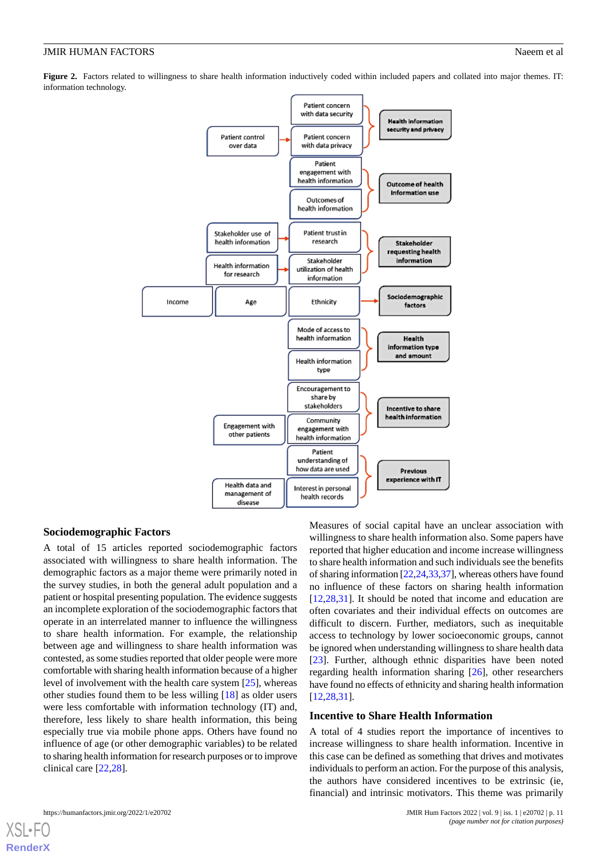<span id="page-10-0"></span>Figure 2. Factors related to willingness to share health information inductively coded within included papers and collated into major themes. IT: information technology.



#### **Sociodemographic Factors**

A total of 15 articles reported sociodemographic factors associated with willingness to share health information. The demographic factors as a major theme were primarily noted in the survey studies, in both the general adult population and a patient or hospital presenting population. The evidence suggests an incomplete exploration of the sociodemographic factors that operate in an interrelated manner to influence the willingness to share health information. For example, the relationship between age and willingness to share health information was contested, as some studies reported that older people were more comfortable with sharing health information because of a higher level of involvement with the health care system [[25\]](#page-15-22), whereas other studies found them to be less willing [\[18](#page-15-15)] as older users were less comfortable with information technology (IT) and, therefore, less likely to share health information, this being especially true via mobile phone apps. Others have found no influence of age (or other demographic variables) to be related to sharing health information for research purposes or to improve clinical care [[22](#page-15-19)[,28](#page-16-1)].

Measures of social capital have an unclear association with willingness to share health information also. Some papers have reported that higher education and income increase willingness to share health information and such individuals see the benefits of sharing information [[22,](#page-15-19)[24](#page-15-21)[,33](#page-16-6)[,37](#page-16-10)], whereas others have found no influence of these factors on sharing health information [[12,](#page-15-9)[28,](#page-16-1)[31\]](#page-16-4). It should be noted that income and education are often covariates and their individual effects on outcomes are difficult to discern. Further, mediators, such as inequitable access to technology by lower socioeconomic groups, cannot be ignored when understanding willingness to share health data [[23\]](#page-15-20). Further, although ethnic disparities have been noted regarding health information sharing [[26](#page-15-23)], other researchers have found no effects of ethnicity and sharing health information [[12,](#page-15-9)[28,](#page-16-1)[31\]](#page-16-4).

#### **Incentive to Share Health Information**

A total of 4 studies report the importance of incentives to increase willingness to share health information. Incentive in this case can be defined as something that drives and motivates individuals to perform an action. For the purpose of this analysis, the authors have considered incentives to be extrinsic (ie, financial) and intrinsic motivators. This theme was primarily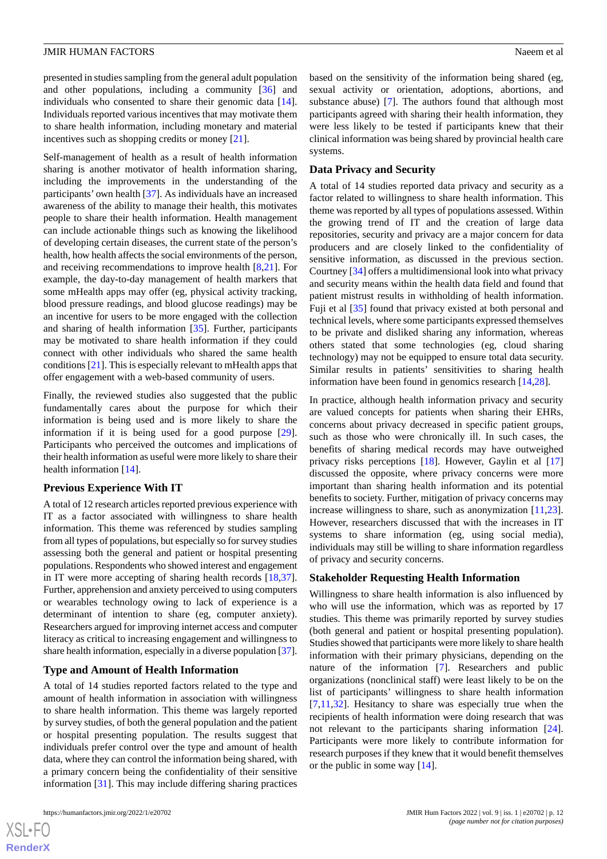presented in studies sampling from the general adult population and other populations, including a community [\[36](#page-16-9)] and individuals who consented to share their genomic data [[14\]](#page-15-11). Individuals reported various incentives that may motivate them to share health information, including monetary and material incentives such as shopping credits or money [[21\]](#page-15-18).

Self-management of health as a result of health information sharing is another motivator of health information sharing, including the improvements in the understanding of the participants' own health [\[37](#page-16-10)]. As individuals have an increased awareness of the ability to manage their health, this motivates people to share their health information. Health management can include actionable things such as knowing the likelihood of developing certain diseases, the current state of the person's health, how health affects the social environments of the person, and receiving recommendations to improve health [[8,](#page-15-5)[21](#page-15-18)]. For example, the day-to-day management of health markers that some mHealth apps may offer (eg, physical activity tracking, blood pressure readings, and blood glucose readings) may be an incentive for users to be more engaged with the collection and sharing of health information [[35\]](#page-16-8). Further, participants may be motivated to share health information if they could connect with other individuals who shared the same health conditions [\[21](#page-15-18)]. This is especially relevant to mHealth apps that offer engagement with a web-based community of users.

Finally, the reviewed studies also suggested that the public fundamentally cares about the purpose for which their information is being used and is more likely to share the information if it is being used for a good purpose [[29\]](#page-16-2). Participants who perceived the outcomes and implications of their health information as useful were more likely to share their health information [\[14](#page-15-11)].

#### **Previous Experience With IT**

A total of 12 research articles reported previous experience with IT as a factor associated with willingness to share health information. This theme was referenced by studies sampling from all types of populations, but especially so for survey studies assessing both the general and patient or hospital presenting populations. Respondents who showed interest and engagement in IT were more accepting of sharing health records [\[18](#page-15-15),[37\]](#page-16-10). Further, apprehension and anxiety perceived to using computers or wearables technology owing to lack of experience is a determinant of intention to share (eg, computer anxiety). Researchers argued for improving internet access and computer literacy as critical to increasing engagement and willingness to share health information, especially in a diverse population [\[37\]](#page-16-10).

#### **Type and Amount of Health Information**

A total of 14 studies reported factors related to the type and amount of health information in association with willingness to share health information. This theme was largely reported by survey studies, of both the general population and the patient or hospital presenting population. The results suggest that individuals prefer control over the type and amount of health data, where they can control the information being shared, with a primary concern being the confidentiality of their sensitive information [[31\]](#page-16-4). This may include differing sharing practices

based on the sensitivity of the information being shared (eg, sexual activity or orientation, adoptions, abortions, and substance abuse) [[7\]](#page-15-4). The authors found that although most participants agreed with sharing their health information, they were less likely to be tested if participants knew that their clinical information was being shared by provincial health care systems.

#### **Data Privacy and Security**

A total of 14 studies reported data privacy and security as a factor related to willingness to share health information. This theme was reported by all types of populations assessed. Within the growing trend of IT and the creation of large data repositories, security and privacy are a major concern for data producers and are closely linked to the confidentiality of sensitive information, as discussed in the previous section. Courtney [\[34](#page-16-7)] offers a multidimensional look into what privacy and security means within the health data field and found that patient mistrust results in withholding of health information. Fuji et al [\[35](#page-16-8)] found that privacy existed at both personal and technical levels, where some participants expressed themselves to be private and disliked sharing any information, whereas others stated that some technologies (eg, cloud sharing technology) may not be equipped to ensure total data security. Similar results in patients' sensitivities to sharing health information have been found in genomics research [[14](#page-15-11)[,28](#page-16-1)].

In practice, although health information privacy and security are valued concepts for patients when sharing their EHRs, concerns about privacy decreased in specific patient groups, such as those who were chronically ill. In such cases, the benefits of sharing medical records may have outweighed privacy risks perceptions [\[18](#page-15-15)]. However, Gaylin et al [\[17](#page-15-14)] discussed the opposite, where privacy concerns were more important than sharing health information and its potential benefits to society. Further, mitigation of privacy concerns may increase willingness to share, such as anonymization [\[11](#page-15-8),[23\]](#page-15-20). However, researchers discussed that with the increases in IT systems to share information (eg, using social media), individuals may still be willing to share information regardless of privacy and security concerns.

#### **Stakeholder Requesting Health Information**

Willingness to share health information is also influenced by who will use the information, which was as reported by 17 studies. This theme was primarily reported by survey studies (both general and patient or hospital presenting population). Studies showed that participants were more likely to share health information with their primary physicians, depending on the nature of the information [[7\]](#page-15-4). Researchers and public organizations (nonclinical staff) were least likely to be on the list of participants' willingness to share health information [[7](#page-15-4)[,11](#page-15-8),[32\]](#page-16-5). Hesitancy to share was especially true when the recipients of health information were doing research that was not relevant to the participants sharing information [[24\]](#page-15-21). Participants were more likely to contribute information for research purposes if they knew that it would benefit themselves or the public in some way [[14\]](#page-15-11).

 $XS$  $\cdot$ FC **[RenderX](http://www.renderx.com/)**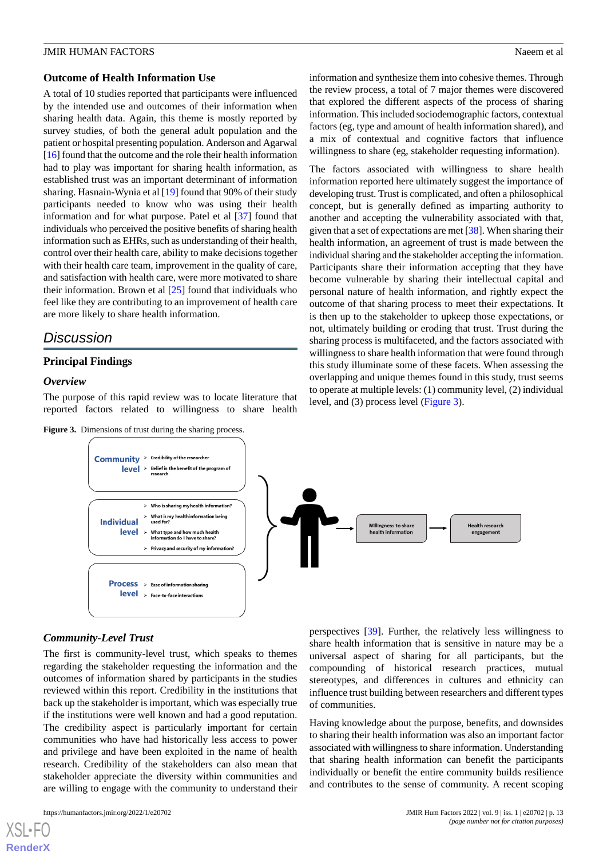#### **Outcome of Health Information Use**

A total of 10 studies reported that participants were influenced by the intended use and outcomes of their information when sharing health data. Again, this theme is mostly reported by survey studies, of both the general adult population and the patient or hospital presenting population. Anderson and Agarwal [[16\]](#page-15-13) found that the outcome and the role their health information had to play was important for sharing health information, as established trust was an important determinant of information sharing. Hasnain-Wynia et al [[19\]](#page-15-16) found that 90% of their study participants needed to know who was using their health information and for what purpose. Patel et al [\[37](#page-16-10)] found that individuals who perceived the positive benefits of sharing health information such as EHRs, such as understanding of their health, control over their health care, ability to make decisions together with their health care team, improvement in the quality of care. and satisfaction with health care, were more motivated to share their information. Brown et al [\[25](#page-15-22)] found that individuals who feel like they are contributing to an improvement of health care are more likely to share health information.

## *Discussion*

### **Principal Findings**

#### <span id="page-12-0"></span>*Overview*

The purpose of this rapid review was to locate literature that reported factors related to willingness to share health

|  | <b>Figure 3.</b> Dimensions of trust during the sharing process. |  |  |  |  |  |
|--|------------------------------------------------------------------|--|--|--|--|--|
|--|------------------------------------------------------------------|--|--|--|--|--|

information and synthesize them into cohesive themes. Through the review process, a total of 7 major themes were discovered that explored the different aspects of the process of sharing information. This included sociodemographic factors, contextual factors (eg, type and amount of health information shared), and a mix of contextual and cognitive factors that influence willingness to share (eg, stakeholder requesting information).

The factors associated with willingness to share health information reported here ultimately suggest the importance of developing trust. Trust is complicated, and often a philosophical concept, but is generally defined as imparting authority to another and accepting the vulnerability associated with that, given that a set of expectations are met [[38\]](#page-16-11). When sharing their health information, an agreement of trust is made between the individual sharing and the stakeholder accepting the information. Participants share their information accepting that they have become vulnerable by sharing their intellectual capital and personal nature of health information, and rightly expect the outcome of that sharing process to meet their expectations. It is then up to the stakeholder to upkeep those expectations, or not, ultimately building or eroding that trust. Trust during the sharing process is multifaceted, and the factors associated with willingness to share health information that were found through this study illuminate some of these facets. When assessing the overlapping and unique themes found in this study, trust seems to operate at multiple levels: (1) community level, (2) individual level, and (3) process level [\(Figure 3\)](#page-12-0).



#### *Community-Level Trust*

The first is community-level trust, which speaks to themes regarding the stakeholder requesting the information and the outcomes of information shared by participants in the studies reviewed within this report. Credibility in the institutions that back up the stakeholder is important, which was especially true if the institutions were well known and had a good reputation. The credibility aspect is particularly important for certain communities who have had historically less access to power and privilege and have been exploited in the name of health research. Credibility of the stakeholders can also mean that stakeholder appreciate the diversity within communities and are willing to engage with the community to understand their

[XSL](http://www.w3.org/Style/XSL)•FO **[RenderX](http://www.renderx.com/)**

perspectives [\[39](#page-16-12)]. Further, the relatively less willingness to share health information that is sensitive in nature may be a universal aspect of sharing for all participants, but the compounding of historical research practices, mutual stereotypes, and differences in cultures and ethnicity can influence trust building between researchers and different types of communities.

Having knowledge about the purpose, benefits, and downsides to sharing their health information was also an important factor associated with willingness to share information. Understanding that sharing health information can benefit the participants individually or benefit the entire community builds resilience and contributes to the sense of community. A recent scoping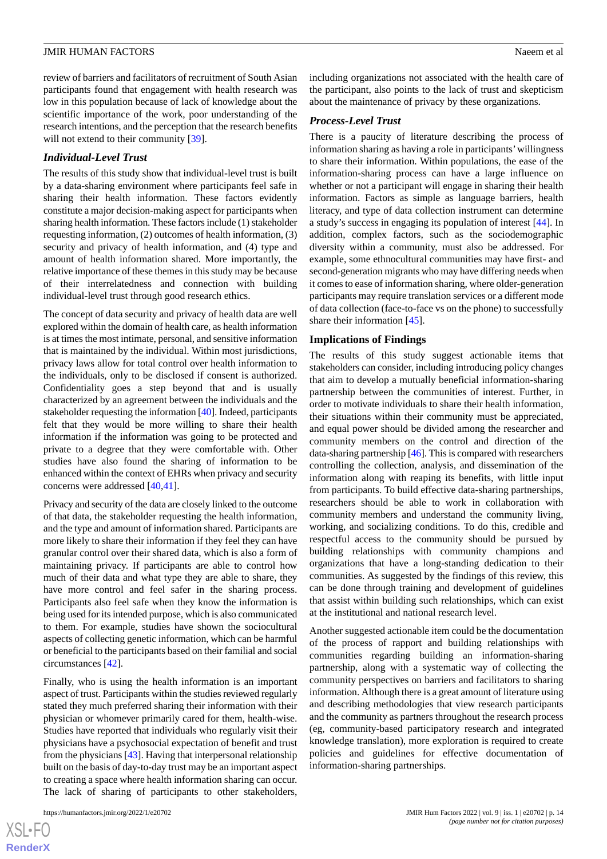review of barriers and facilitators of recruitment of South Asian participants found that engagement with health research was low in this population because of lack of knowledge about the scientific importance of the work, poor understanding of the research intentions, and the perception that the research benefits will not extend to their community [\[39](#page-16-12)].

#### *Individual-Level Trust*

The results of this study show that individual-level trust is built by a data-sharing environment where participants feel safe in sharing their health information. These factors evidently constitute a major decision-making aspect for participants when sharing health information. These factors include (1) stakeholder requesting information, (2) outcomes of health information, (3) security and privacy of health information, and (4) type and amount of health information shared. More importantly, the relative importance of these themes in this study may be because of their interrelatedness and connection with building individual-level trust through good research ethics.

The concept of data security and privacy of health data are well explored within the domain of health care, as health information is at times the most intimate, personal, and sensitive information that is maintained by the individual. Within most jurisdictions, privacy laws allow for total control over health information to the individuals, only to be disclosed if consent is authorized. Confidentiality goes a step beyond that and is usually characterized by an agreement between the individuals and the stakeholder requesting the information [[40](#page-16-13)]. Indeed, participants felt that they would be more willing to share their health information if the information was going to be protected and private to a degree that they were comfortable with. Other studies have also found the sharing of information to be enhanced within the context of EHRs when privacy and security concerns were addressed [[40,](#page-16-13)[41](#page-16-14)].

Privacy and security of the data are closely linked to the outcome of that data, the stakeholder requesting the health information, and the type and amount of information shared. Participants are more likely to share their information if they feel they can have granular control over their shared data, which is also a form of maintaining privacy. If participants are able to control how much of their data and what type they are able to share, they have more control and feel safer in the sharing process. Participants also feel safe when they know the information is being used for its intended purpose, which is also communicated to them. For example, studies have shown the sociocultural aspects of collecting genetic information, which can be harmful or beneficial to the participants based on their familial and social circumstances [[42](#page-16-15)].

Finally, who is using the health information is an important aspect of trust. Participants within the studies reviewed regularly stated they much preferred sharing their information with their physician or whomever primarily cared for them, health-wise. Studies have reported that individuals who regularly visit their physicians have a psychosocial expectation of benefit and trust from the physicians [\[43](#page-16-16)]. Having that interpersonal relationship built on the basis of day-to-day trust may be an important aspect to creating a space where health information sharing can occur. The lack of sharing of participants to other stakeholders,

 $XS$  • FC **[RenderX](http://www.renderx.com/)** including organizations not associated with the health care of the participant, also points to the lack of trust and skepticism about the maintenance of privacy by these organizations.

#### *Process-Level Trust*

There is a paucity of literature describing the process of information sharing as having a role in participants'willingness to share their information. Within populations, the ease of the information-sharing process can have a large influence on whether or not a participant will engage in sharing their health information. Factors as simple as language barriers, health literacy, and type of data collection instrument can determine a study's success in engaging its population of interest [\[44](#page-16-17)]. In addition, complex factors, such as the sociodemographic diversity within a community, must also be addressed. For example, some ethnocultural communities may have first- and second-generation migrants who may have differing needs when it comes to ease of information sharing, where older-generation participants may require translation services or a different mode of data collection (face-to-face vs on the phone) to successfully share their information [\[45](#page-16-18)].

### **Implications of Findings**

The results of this study suggest actionable items that stakeholders can consider, including introducing policy changes that aim to develop a mutually beneficial information-sharing partnership between the communities of interest. Further, in order to motivate individuals to share their health information, their situations within their community must be appreciated, and equal power should be divided among the researcher and community members on the control and direction of the data-sharing partnership [\[46](#page-16-19)]. This is compared with researchers controlling the collection, analysis, and dissemination of the information along with reaping its benefits, with little input from participants. To build effective data-sharing partnerships, researchers should be able to work in collaboration with community members and understand the community living, working, and socializing conditions. To do this, credible and respectful access to the community should be pursued by building relationships with community champions and organizations that have a long-standing dedication to their communities. As suggested by the findings of this review, this can be done through training and development of guidelines that assist within building such relationships, which can exist at the institutional and national research level.

Another suggested actionable item could be the documentation of the process of rapport and building relationships with communities regarding building an information-sharing partnership, along with a systematic way of collecting the community perspectives on barriers and facilitators to sharing information. Although there is a great amount of literature using and describing methodologies that view research participants and the community as partners throughout the research process (eg, community-based participatory research and integrated knowledge translation), more exploration is required to create policies and guidelines for effective documentation of information-sharing partnerships.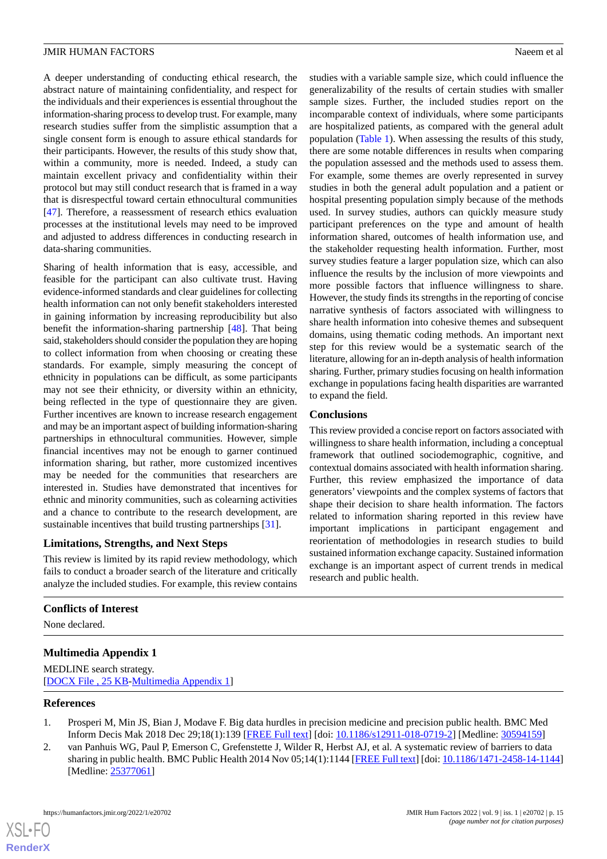A deeper understanding of conducting ethical research, the abstract nature of maintaining confidentiality, and respect for the individuals and their experiences is essential throughout the information-sharing process to develop trust. For example, many research studies suffer from the simplistic assumption that a single consent form is enough to assure ethical standards for their participants. However, the results of this study show that, within a community, more is needed. Indeed, a study can maintain excellent privacy and confidentiality within their protocol but may still conduct research that is framed in a way that is disrespectful toward certain ethnocultural communities [[47\]](#page-16-20). Therefore, a reassessment of research ethics evaluation processes at the institutional levels may need to be improved and adjusted to address differences in conducting research in data-sharing communities.

Sharing of health information that is easy, accessible, and feasible for the participant can also cultivate trust. Having evidence-informed standards and clear guidelines for collecting health information can not only benefit stakeholders interested in gaining information by increasing reproducibility but also benefit the information-sharing partnership [\[48](#page-16-21)]. That being said, stakeholders should consider the population they are hoping to collect information from when choosing or creating these standards. For example, simply measuring the concept of ethnicity in populations can be difficult, as some participants may not see their ethnicity, or diversity within an ethnicity, being reflected in the type of questionnaire they are given. Further incentives are known to increase research engagement and may be an important aspect of building information-sharing partnerships in ethnocultural communities. However, simple financial incentives may not be enough to garner continued information sharing, but rather, more customized incentives may be needed for the communities that researchers are interested in. Studies have demonstrated that incentives for ethnic and minority communities, such as colearning activities and a chance to contribute to the research development, are sustainable incentives that build trusting partnerships [\[31](#page-16-4)].

## **Limitations, Strengths, and Next Steps**

This review is limited by its rapid review methodology, which fails to conduct a broader search of the literature and critically analyze the included studies. For example, this review contains

studies with a variable sample size, which could influence the generalizability of the results of certain studies with smaller sample sizes. Further, the included studies report on the incomparable context of individuals, where some participants are hospitalized patients, as compared with the general adult population [\(Table 1](#page-3-0)). When assessing the results of this study, there are some notable differences in results when comparing the population assessed and the methods used to assess them. For example, some themes are overly represented in survey studies in both the general adult population and a patient or hospital presenting population simply because of the methods used. In survey studies, authors can quickly measure study participant preferences on the type and amount of health information shared, outcomes of health information use, and the stakeholder requesting health information. Further, most survey studies feature a larger population size, which can also influence the results by the inclusion of more viewpoints and more possible factors that influence willingness to share. However, the study finds its strengths in the reporting of concise narrative synthesis of factors associated with willingness to share health information into cohesive themes and subsequent domains, using thematic coding methods. An important next step for this review would be a systematic search of the literature, allowing for an in-depth analysis of health information sharing. Further, primary studies focusing on health information exchange in populations facing health disparities are warranted to expand the field.

#### **Conclusions**

This review provided a concise report on factors associated with willingness to share health information, including a conceptual framework that outlined sociodemographic, cognitive, and contextual domains associated with health information sharing. Further, this review emphasized the importance of data generators' viewpoints and the complex systems of factors that shape their decision to share health information. The factors related to information sharing reported in this review have important implications in participant engagement and reorientation of methodologies in research studies to build sustained information exchange capacity. Sustained information exchange is an important aspect of current trends in medical research and public health.

## <span id="page-14-2"></span>**Conflicts of Interest**

None declared.

## <span id="page-14-0"></span>**Multimedia Appendix 1**

<span id="page-14-1"></span>MEDLINE search strategy. [[DOCX File , 25 KB](https://jmir.org/api/download?alt_name=humanfactors_v9i1e20702_app1.docx&filename=1cad58f9e015abe78008623b74312526.docx)-[Multimedia Appendix 1\]](https://jmir.org/api/download?alt_name=humanfactors_v9i1e20702_app1.docx&filename=1cad58f9e015abe78008623b74312526.docx)

#### **References**

- 1. Prosperi M, Min JS, Bian J, Modave F. Big data hurdles in precision medicine and precision public health. BMC Med Inform Decis Mak 2018 Dec 29;18(1):139 [\[FREE Full text](https://bmcmedinformdecismak.biomedcentral.com/articles/10.1186/s12911-018-0719-2)] [doi: [10.1186/s12911-018-0719-2\]](http://dx.doi.org/10.1186/s12911-018-0719-2) [Medline: [30594159\]](http://www.ncbi.nlm.nih.gov/entrez/query.fcgi?cmd=Retrieve&db=PubMed&list_uids=30594159&dopt=Abstract)
- 2. van Panhuis WG, Paul P, Emerson C, Grefenstette J, Wilder R, Herbst AJ, et al. A systematic review of barriers to data sharing in public health. BMC Public Health 2014 Nov 05;14(1):1144 [\[FREE Full text\]](https://bmcpublichealth.biomedcentral.com/articles/10.1186/1471-2458-14-1144) [doi: [10.1186/1471-2458-14-1144](http://dx.doi.org/10.1186/1471-2458-14-1144)] [Medline: [25377061](http://www.ncbi.nlm.nih.gov/entrez/query.fcgi?cmd=Retrieve&db=PubMed&list_uids=25377061&dopt=Abstract)]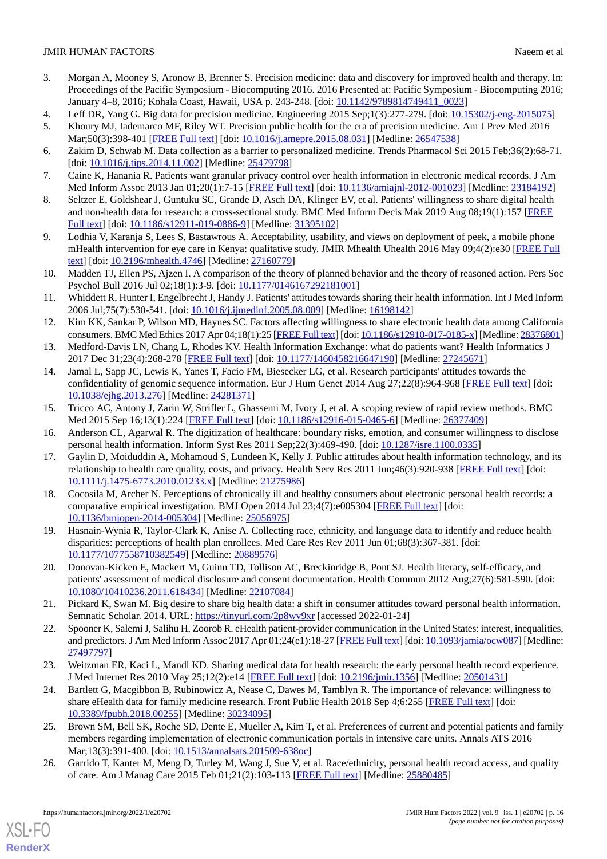- <span id="page-15-0"></span>3. Morgan A, Mooney S, Aronow B, Brenner S. Precision medicine: data and discovery for improved health and therapy. In: Proceedings of the Pacific Symposium - Biocomputing 2016. 2016 Presented at: Pacific Symposium - Biocomputing 2016; January 4–8, 2016; Kohala Coast, Hawaii, USA p. 243-248. [doi: [10.1142/9789814749411\\_0023](http://dx.doi.org/10.1142/9789814749411_0023)]
- <span id="page-15-2"></span><span id="page-15-1"></span>4. Leff DR, Yang G. Big data for precision medicine. Engineering 2015 Sep;1(3):277-279. [doi: [10.15302/j-eng-2015075](http://dx.doi.org/10.15302/j-eng-2015075)]
- <span id="page-15-3"></span>5. Khoury MJ, Iademarco MF, Riley WT. Precision public health for the era of precision medicine. Am J Prev Med 2016 Mar;50(3):398-401 [[FREE Full text\]](http://europepmc.org/abstract/MED/26547538) [doi: [10.1016/j.amepre.2015.08.031\]](http://dx.doi.org/10.1016/j.amepre.2015.08.031) [Medline: [26547538\]](http://www.ncbi.nlm.nih.gov/entrez/query.fcgi?cmd=Retrieve&db=PubMed&list_uids=26547538&dopt=Abstract)
- <span id="page-15-4"></span>6. Zakim D, Schwab M. Data collection as a barrier to personalized medicine. Trends Pharmacol Sci 2015 Feb;36(2):68-71. [doi: [10.1016/j.tips.2014.11.002](http://dx.doi.org/10.1016/j.tips.2014.11.002)] [Medline: [25479798](http://www.ncbi.nlm.nih.gov/entrez/query.fcgi?cmd=Retrieve&db=PubMed&list_uids=25479798&dopt=Abstract)]
- <span id="page-15-5"></span>7. Caine K, Hanania R. Patients want granular privacy control over health information in electronic medical records. J Am Med Inform Assoc 2013 Jan 01;20(1):7-15 [\[FREE Full text\]](http://europepmc.org/abstract/MED/23184192) [doi: [10.1136/amiajnl-2012-001023\]](http://dx.doi.org/10.1136/amiajnl-2012-001023) [Medline: [23184192\]](http://www.ncbi.nlm.nih.gov/entrez/query.fcgi?cmd=Retrieve&db=PubMed&list_uids=23184192&dopt=Abstract)
- <span id="page-15-6"></span>8. Seltzer E, Goldshear J, Guntuku SC, Grande D, Asch DA, Klinger EV, et al. Patients' willingness to share digital health and non-health data for research: a cross-sectional study. BMC Med Inform Decis Mak 2019 Aug 08;19(1):157 [[FREE](https://bmcmedinformdecismak.biomedcentral.com/articles/10.1186/s12911-019-0886-9) [Full text\]](https://bmcmedinformdecismak.biomedcentral.com/articles/10.1186/s12911-019-0886-9) [doi: [10.1186/s12911-019-0886-9](http://dx.doi.org/10.1186/s12911-019-0886-9)] [Medline: [31395102](http://www.ncbi.nlm.nih.gov/entrez/query.fcgi?cmd=Retrieve&db=PubMed&list_uids=31395102&dopt=Abstract)]
- <span id="page-15-7"></span>9. Lodhia V, Karanja S, Lees S, Bastawrous A. Acceptability, usability, and views on deployment of peek, a mobile phone mHealth intervention for eye care in Kenya: qualitative study. JMIR Mhealth Uhealth 2016 May 09;4(2):e30 [\[FREE Full](https://mhealth.jmir.org/2016/2/e30/) [text](https://mhealth.jmir.org/2016/2/e30/)] [doi: [10.2196/mhealth.4746\]](http://dx.doi.org/10.2196/mhealth.4746) [Medline: [27160779](http://www.ncbi.nlm.nih.gov/entrez/query.fcgi?cmd=Retrieve&db=PubMed&list_uids=27160779&dopt=Abstract)]
- <span id="page-15-8"></span>10. Madden TJ, Ellen PS, Ajzen I. A comparison of the theory of planned behavior and the theory of reasoned action. Pers Soc Psychol Bull 2016 Jul 02;18(1):3-9. [doi: [10.1177/0146167292181001](http://dx.doi.org/10.1177/0146167292181001)]
- <span id="page-15-9"></span>11. Whiddett R, Hunter I, Engelbrecht J, Handy J. Patients' attitudes towards sharing their health information. Int J Med Inform 2006 Jul;75(7):530-541. [doi: [10.1016/j.ijmedinf.2005.08.009\]](http://dx.doi.org/10.1016/j.ijmedinf.2005.08.009) [Medline: [16198142](http://www.ncbi.nlm.nih.gov/entrez/query.fcgi?cmd=Retrieve&db=PubMed&list_uids=16198142&dopt=Abstract)]
- <span id="page-15-10"></span>12. Kim KK, Sankar P, Wilson MD, Haynes SC. Factors affecting willingness to share electronic health data among California consumers. BMC Med Ethics 2017 Apr 04;18(1):25 [\[FREE Full text\]](https://bmcmedethics.biomedcentral.com/articles/10.1186/s12910-017-0185-x) [doi: [10.1186/s12910-017-0185-x](http://dx.doi.org/10.1186/s12910-017-0185-x)] [Medline: [28376801\]](http://www.ncbi.nlm.nih.gov/entrez/query.fcgi?cmd=Retrieve&db=PubMed&list_uids=28376801&dopt=Abstract)
- <span id="page-15-11"></span>13. Medford-Davis LN, Chang L, Rhodes KV. Health Information Exchange: what do patients want? Health Informatics J 2017 Dec 31;23(4):268-278 [\[FREE Full text](https://journals.sagepub.com/doi/10.1177/1460458216647190?url_ver=Z39.88-2003&rfr_id=ori:rid:crossref.org&rfr_dat=cr_pub%3dpubmed)] [doi: [10.1177/1460458216647190\]](http://dx.doi.org/10.1177/1460458216647190) [Medline: [27245671\]](http://www.ncbi.nlm.nih.gov/entrez/query.fcgi?cmd=Retrieve&db=PubMed&list_uids=27245671&dopt=Abstract)
- <span id="page-15-12"></span>14. Jamal L, Sapp JC, Lewis K, Yanes T, Facio FM, Biesecker LG, et al. Research participants' attitudes towards the confidentiality of genomic sequence information. Eur J Hum Genet 2014 Aug 27;22(8):964-968 [\[FREE Full text\]](http://europepmc.org/abstract/MED/24281371) [doi: [10.1038/ejhg.2013.276](http://dx.doi.org/10.1038/ejhg.2013.276)] [Medline: [24281371\]](http://www.ncbi.nlm.nih.gov/entrez/query.fcgi?cmd=Retrieve&db=PubMed&list_uids=24281371&dopt=Abstract)
- <span id="page-15-14"></span><span id="page-15-13"></span>15. Tricco AC, Antony J, Zarin W, Strifler L, Ghassemi M, Ivory J, et al. A scoping review of rapid review methods. BMC Med 2015 Sep 16;13(1):224 [\[FREE Full text\]](https://bmcmedicine.biomedcentral.com/articles/10.1186/s12916-015-0465-6) [doi: [10.1186/s12916-015-0465-6](http://dx.doi.org/10.1186/s12916-015-0465-6)] [Medline: [26377409\]](http://www.ncbi.nlm.nih.gov/entrez/query.fcgi?cmd=Retrieve&db=PubMed&list_uids=26377409&dopt=Abstract)
- 16. Anderson CL, Agarwal R. The digitization of healthcare: boundary risks, emotion, and consumer willingness to disclose personal health information. Inform Syst Res 2011 Sep;22(3):469-490. [doi: [10.1287/isre.1100.0335\]](http://dx.doi.org/10.1287/isre.1100.0335)
- <span id="page-15-15"></span>17. Gaylin D, Moiduddin A, Mohamoud S, Lundeen K, Kelly J. Public attitudes about health information technology, and its relationship to health care quality, costs, and privacy. Health Serv Res 2011 Jun;46(3):920-938 [[FREE Full text](http://europepmc.org/abstract/MED/21275986)] [doi: [10.1111/j.1475-6773.2010.01233.x\]](http://dx.doi.org/10.1111/j.1475-6773.2010.01233.x) [Medline: [21275986\]](http://www.ncbi.nlm.nih.gov/entrez/query.fcgi?cmd=Retrieve&db=PubMed&list_uids=21275986&dopt=Abstract)
- <span id="page-15-17"></span><span id="page-15-16"></span>18. Cocosila M, Archer N. Perceptions of chronically ill and healthy consumers about electronic personal health records: a comparative empirical investigation. BMJ Open 2014 Jul 23;4(7):e005304 [[FREE Full text](https://bmjopen.bmj.com/lookup/pmidlookup?view=long&pmid=25056975)] [doi: [10.1136/bmjopen-2014-005304\]](http://dx.doi.org/10.1136/bmjopen-2014-005304) [Medline: [25056975](http://www.ncbi.nlm.nih.gov/entrez/query.fcgi?cmd=Retrieve&db=PubMed&list_uids=25056975&dopt=Abstract)]
- <span id="page-15-18"></span>19. Hasnain-Wynia R, Taylor-Clark K, Anise A. Collecting race, ethnicity, and language data to identify and reduce health disparities: perceptions of health plan enrollees. Med Care Res Rev 2011 Jun 01;68(3):367-381. [doi: [10.1177/1077558710382549\]](http://dx.doi.org/10.1177/1077558710382549) [Medline: [20889576\]](http://www.ncbi.nlm.nih.gov/entrez/query.fcgi?cmd=Retrieve&db=PubMed&list_uids=20889576&dopt=Abstract)
- <span id="page-15-19"></span>20. Donovan-Kicken E, Mackert M, Guinn TD, Tollison AC, Breckinridge B, Pont SJ. Health literacy, self-efficacy, and patients' assessment of medical disclosure and consent documentation. Health Commun 2012 Aug;27(6):581-590. [doi: [10.1080/10410236.2011.618434\]](http://dx.doi.org/10.1080/10410236.2011.618434) [Medline: [22107084\]](http://www.ncbi.nlm.nih.gov/entrez/query.fcgi?cmd=Retrieve&db=PubMed&list_uids=22107084&dopt=Abstract)
- <span id="page-15-20"></span>21. Pickard K, Swan M. Big desire to share big health data: a shift in consumer attitudes toward personal health information. Semnatic Scholar. 2014. URL: [https://tinyurl.com/2p8wv9xr](https://www.semanticscholar.org/paper/Big-Desire-to-Share-Big-Health-Data%3A-A-Shift-in-Pickard-Swan/846c3316daa8af7964042bfd29759a8e5589b627?p2df) [accessed 2022-01-24]
- <span id="page-15-21"></span>22. Spooner K, Salemi J, Salihu H, Zoorob R. eHealth patient-provider communication in the United States: interest, inequalities, and predictors. J Am Med Inform Assoc 2017 Apr 01;24(e1):18-27 [\[FREE Full text\]](http://europepmc.org/abstract/MED/27497797) [doi: [10.1093/jamia/ocw087\]](http://dx.doi.org/10.1093/jamia/ocw087) [Medline: [27497797](http://www.ncbi.nlm.nih.gov/entrez/query.fcgi?cmd=Retrieve&db=PubMed&list_uids=27497797&dopt=Abstract)]
- <span id="page-15-22"></span>23. Weitzman ER, Kaci L, Mandl KD. Sharing medical data for health research: the early personal health record experience. J Med Internet Res 2010 May 25;12(2):e14 [[FREE Full text](https://www.jmir.org/2010/2/e14/)] [doi: [10.2196/jmir.1356](http://dx.doi.org/10.2196/jmir.1356)] [Medline: [20501431\]](http://www.ncbi.nlm.nih.gov/entrez/query.fcgi?cmd=Retrieve&db=PubMed&list_uids=20501431&dopt=Abstract)
- <span id="page-15-23"></span>24. Bartlett G, Macgibbon B, Rubinowicz A, Nease C, Dawes M, Tamblyn R. The importance of relevance: willingness to share eHealth data for family medicine research. Front Public Health 2018 Sep 4;6:255 [[FREE Full text](https://doi.org/10.3389/fpubh.2018.00255)] [doi: [10.3389/fpubh.2018.00255](http://dx.doi.org/10.3389/fpubh.2018.00255)] [Medline: [30234095\]](http://www.ncbi.nlm.nih.gov/entrez/query.fcgi?cmd=Retrieve&db=PubMed&list_uids=30234095&dopt=Abstract)
- 25. Brown SM, Bell SK, Roche SD, Dente E, Mueller A, Kim T, et al. Preferences of current and potential patients and family members regarding implementation of electronic communication portals in intensive care units. Annals ATS 2016 Mar;13(3):391-400. [doi: [10.1513/annalsats.201509-638oc](http://dx.doi.org/10.1513/annalsats.201509-638oc)]
- 26. Garrido T, Kanter M, Meng D, Turley M, Wang J, Sue V, et al. Race/ethnicity, personal health record access, and quality of care. Am J Manag Care 2015 Feb 01;21(2):103-113 [[FREE Full text](https://www.ajmc.com/pubMed.php?pii=85966)] [Medline: [25880485](http://www.ncbi.nlm.nih.gov/entrez/query.fcgi?cmd=Retrieve&db=PubMed&list_uids=25880485&dopt=Abstract)]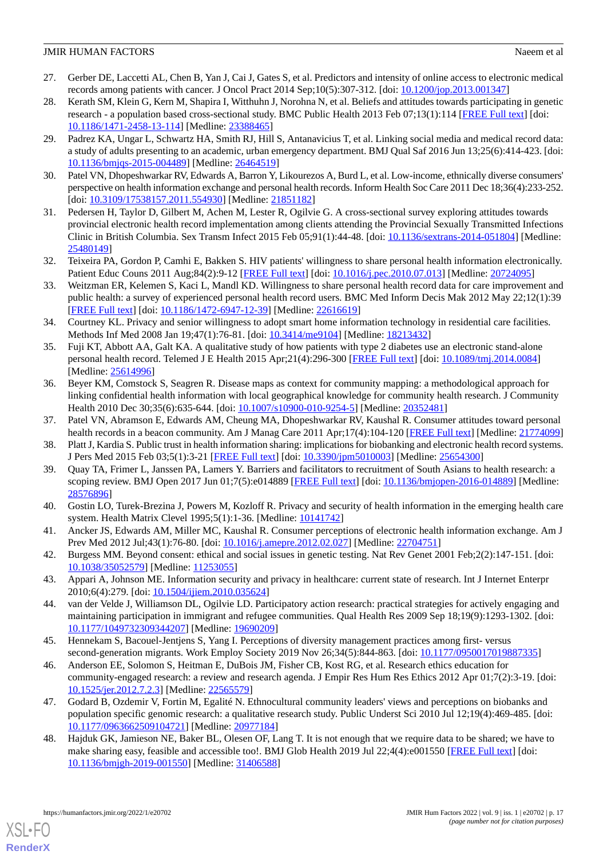- <span id="page-16-0"></span>27. Gerber DE, Laccetti AL, Chen B, Yan J, Cai J, Gates S, et al. Predictors and intensity of online access to electronic medical records among patients with cancer. J Oncol Pract 2014 Sep;10(5):307-312. [doi: [10.1200/jop.2013.001347](http://dx.doi.org/10.1200/jop.2013.001347)]
- <span id="page-16-1"></span>28. Kerath SM, Klein G, Kern M, Shapira I, Witthuhn J, Norohna N, et al. Beliefs and attitudes towards participating in genetic research - a population based cross-sectional study. BMC Public Health 2013 Feb 07;13(1):114 [[FREE Full text](https://bmcpublichealth.biomedcentral.com/articles/10.1186/1471-2458-13-114)] [doi: [10.1186/1471-2458-13-114\]](http://dx.doi.org/10.1186/1471-2458-13-114) [Medline: [23388465\]](http://www.ncbi.nlm.nih.gov/entrez/query.fcgi?cmd=Retrieve&db=PubMed&list_uids=23388465&dopt=Abstract)
- <span id="page-16-2"></span>29. Padrez KA, Ungar L, Schwartz HA, Smith RJ, Hill S, Antanavicius T, et al. Linking social media and medical record data: a study of adults presenting to an academic, urban emergency department. BMJ Qual Saf 2016 Jun 13;25(6):414-423. [doi: [10.1136/bmjqs-2015-004489\]](http://dx.doi.org/10.1136/bmjqs-2015-004489) [Medline: [26464519\]](http://www.ncbi.nlm.nih.gov/entrez/query.fcgi?cmd=Retrieve&db=PubMed&list_uids=26464519&dopt=Abstract)
- <span id="page-16-4"></span><span id="page-16-3"></span>30. Patel VN, Dhopeshwarkar RV, Edwards A, Barron Y, Likourezos A, Burd L, et al. Low-income, ethnically diverse consumers' perspective on health information exchange and personal health records. Inform Health Soc Care 2011 Dec 18;36(4):233-252. [doi: [10.3109/17538157.2011.554930](http://dx.doi.org/10.3109/17538157.2011.554930)] [Medline: [21851182\]](http://www.ncbi.nlm.nih.gov/entrez/query.fcgi?cmd=Retrieve&db=PubMed&list_uids=21851182&dopt=Abstract)
- <span id="page-16-5"></span>31. Pedersen H, Taylor D, Gilbert M, Achen M, Lester R, Ogilvie G. A cross-sectional survey exploring attitudes towards provincial electronic health record implementation among clients attending the Provincial Sexually Transmitted Infections Clinic in British Columbia. Sex Transm Infect 2015 Feb 05;91(1):44-48. [doi: [10.1136/sextrans-2014-051804](http://dx.doi.org/10.1136/sextrans-2014-051804)] [Medline: [25480149](http://www.ncbi.nlm.nih.gov/entrez/query.fcgi?cmd=Retrieve&db=PubMed&list_uids=25480149&dopt=Abstract)]
- <span id="page-16-6"></span>32. Teixeira PA, Gordon P, Camhi E, Bakken S. HIV patients' willingness to share personal health information electronically. Patient Educ Couns 2011 Aug;84(2):9-12 [[FREE Full text](http://europepmc.org/abstract/MED/20724095)] [doi: [10.1016/j.pec.2010.07.013](http://dx.doi.org/10.1016/j.pec.2010.07.013)] [Medline: [20724095](http://www.ncbi.nlm.nih.gov/entrez/query.fcgi?cmd=Retrieve&db=PubMed&list_uids=20724095&dopt=Abstract)]
- <span id="page-16-7"></span>33. Weitzman ER, Kelemen S, Kaci L, Mandl KD. Willingness to share personal health record data for care improvement and public health: a survey of experienced personal health record users. BMC Med Inform Decis Mak 2012 May 22;12(1):39 [[FREE Full text](https://bmcmedinformdecismak.biomedcentral.com/articles/10.1186/1472-6947-12-39)] [doi: [10.1186/1472-6947-12-39\]](http://dx.doi.org/10.1186/1472-6947-12-39) [Medline: [22616619](http://www.ncbi.nlm.nih.gov/entrez/query.fcgi?cmd=Retrieve&db=PubMed&list_uids=22616619&dopt=Abstract)]
- <span id="page-16-8"></span>34. Courtney KL. Privacy and senior willingness to adopt smart home information technology in residential care facilities. Methods Inf Med 2008 Jan 19;47(1):76-81. [doi: [10.3414/me9104\]](http://dx.doi.org/10.3414/me9104) [Medline: [18213432\]](http://www.ncbi.nlm.nih.gov/entrez/query.fcgi?cmd=Retrieve&db=PubMed&list_uids=18213432&dopt=Abstract)
- <span id="page-16-9"></span>35. Fuji KT, Abbott AA, Galt KA. A qualitative study of how patients with type 2 diabetes use an electronic stand-alone personal health record. Telemed J E Health 2015 Apr;21(4):296-300 [[FREE Full text](http://europepmc.org/abstract/MED/25614996)] [doi: [10.1089/tmj.2014.0084](http://dx.doi.org/10.1089/tmj.2014.0084)] [Medline: [25614996](http://www.ncbi.nlm.nih.gov/entrez/query.fcgi?cmd=Retrieve&db=PubMed&list_uids=25614996&dopt=Abstract)]
- <span id="page-16-11"></span><span id="page-16-10"></span>36. Beyer KM, Comstock S, Seagren R. Disease maps as context for community mapping: a methodological approach for linking confidential health information with local geographical knowledge for community health research. J Community Health 2010 Dec 30;35(6):635-644. [doi: [10.1007/s10900-010-9254-5\]](http://dx.doi.org/10.1007/s10900-010-9254-5) [Medline: [20352481\]](http://www.ncbi.nlm.nih.gov/entrez/query.fcgi?cmd=Retrieve&db=PubMed&list_uids=20352481&dopt=Abstract)
- <span id="page-16-12"></span>37. Patel VN, Abramson E, Edwards AM, Cheung MA, Dhopeshwarkar RV, Kaushal R. Consumer attitudes toward personal health records in a beacon community. Am J Manag Care 2011 Apr;17(4):104-120 [[FREE Full text\]](https://www.ajmc.com/pubMed.php?pii=48672) [Medline: [21774099](http://www.ncbi.nlm.nih.gov/entrez/query.fcgi?cmd=Retrieve&db=PubMed&list_uids=21774099&dopt=Abstract)]
- <span id="page-16-13"></span>38. Platt J, Kardia S. Public trust in health information sharing: implications for biobanking and electronic health record systems. J Pers Med 2015 Feb 03;5(1):3-21 [[FREE Full text](https://www.mdpi.com/resolver?pii=jpm5010003)] [doi: [10.3390/jpm5010003](http://dx.doi.org/10.3390/jpm5010003)] [Medline: [25654300](http://www.ncbi.nlm.nih.gov/entrez/query.fcgi?cmd=Retrieve&db=PubMed&list_uids=25654300&dopt=Abstract)]
- <span id="page-16-14"></span>39. Quay TA, Frimer L, Janssen PA, Lamers Y. Barriers and facilitators to recruitment of South Asians to health research: a scoping review. BMJ Open 2017 Jun 01;7(5):e014889 [[FREE Full text](https://bmjopen.bmj.com/lookup/pmidlookup?view=long&pmid=28576896)] [doi: [10.1136/bmjopen-2016-014889](http://dx.doi.org/10.1136/bmjopen-2016-014889)] [Medline: [28576896](http://www.ncbi.nlm.nih.gov/entrez/query.fcgi?cmd=Retrieve&db=PubMed&list_uids=28576896&dopt=Abstract)]
- <span id="page-16-15"></span>40. Gostin LO, Turek-Brezina J, Powers M, Kozloff R. Privacy and security of health information in the emerging health care system. Health Matrix Clevel 1995;5(1):1-36. [Medline: [10141742\]](http://www.ncbi.nlm.nih.gov/entrez/query.fcgi?cmd=Retrieve&db=PubMed&list_uids=10141742&dopt=Abstract)
- <span id="page-16-16"></span>41. Ancker JS, Edwards AM, Miller MC, Kaushal R. Consumer perceptions of electronic health information exchange. Am J Prev Med 2012 Jul;43(1):76-80. [doi: [10.1016/j.amepre.2012.02.027\]](http://dx.doi.org/10.1016/j.amepre.2012.02.027) [Medline: [22704751](http://www.ncbi.nlm.nih.gov/entrez/query.fcgi?cmd=Retrieve&db=PubMed&list_uids=22704751&dopt=Abstract)]
- <span id="page-16-17"></span>42. Burgess MM. Beyond consent: ethical and social issues in genetic testing. Nat Rev Genet 2001 Feb;2(2):147-151. [doi: [10.1038/35052579\]](http://dx.doi.org/10.1038/35052579) [Medline: [11253055\]](http://www.ncbi.nlm.nih.gov/entrez/query.fcgi?cmd=Retrieve&db=PubMed&list_uids=11253055&dopt=Abstract)
- <span id="page-16-18"></span>43. Appari A, Johnson ME. Information security and privacy in healthcare: current state of research. Int J Internet Enterpr 2010;6(4):279. [doi: [10.1504/ijiem.2010.035624\]](http://dx.doi.org/10.1504/ijiem.2010.035624)
- <span id="page-16-19"></span>44. van der Velde J, Williamson DL, Ogilvie LD. Participatory action research: practical strategies for actively engaging and maintaining participation in immigrant and refugee communities. Qual Health Res 2009 Sep 18;19(9):1293-1302. [doi: [10.1177/1049732309344207\]](http://dx.doi.org/10.1177/1049732309344207) [Medline: [19690209\]](http://www.ncbi.nlm.nih.gov/entrez/query.fcgi?cmd=Retrieve&db=PubMed&list_uids=19690209&dopt=Abstract)
- <span id="page-16-20"></span>45. Hennekam S, Bacouel-Jentjens S, Yang I. Perceptions of diversity management practices among first- versus second-generation migrants. Work Employ Society 2019 Nov 26;34(5):844-863. [doi: [10.1177/0950017019887335\]](http://dx.doi.org/10.1177/0950017019887335)
- <span id="page-16-21"></span>46. Anderson EE, Solomon S, Heitman E, DuBois JM, Fisher CB, Kost RG, et al. Research ethics education for community-engaged research: a review and research agenda. J Empir Res Hum Res Ethics 2012 Apr 01;7(2):3-19. [doi: [10.1525/jer.2012.7.2.3\]](http://dx.doi.org/10.1525/jer.2012.7.2.3) [Medline: [22565579\]](http://www.ncbi.nlm.nih.gov/entrez/query.fcgi?cmd=Retrieve&db=PubMed&list_uids=22565579&dopt=Abstract)
- 47. Godard B, Ozdemir V, Fortin M, Egalité N. Ethnocultural community leaders' views and perceptions on biobanks and population specific genomic research: a qualitative research study. Public Underst Sci 2010 Jul 12;19(4):469-485. [doi: [10.1177/0963662509104721\]](http://dx.doi.org/10.1177/0963662509104721) [Medline: [20977184\]](http://www.ncbi.nlm.nih.gov/entrez/query.fcgi?cmd=Retrieve&db=PubMed&list_uids=20977184&dopt=Abstract)
- 48. Hajduk GK, Jamieson NE, Baker BL, Olesen OF, Lang T. It is not enough that we require data to be shared; we have to make sharing easy, feasible and accessible too!. BMJ Glob Health 2019 Jul 22;4(4):e001550 [\[FREE Full text](https://gh.bmj.com/lookup/pmidlookup?view=long&pmid=31406588)] [doi: [10.1136/bmjgh-2019-001550](http://dx.doi.org/10.1136/bmjgh-2019-001550)] [Medline: [31406588\]](http://www.ncbi.nlm.nih.gov/entrez/query.fcgi?cmd=Retrieve&db=PubMed&list_uids=31406588&dopt=Abstract)